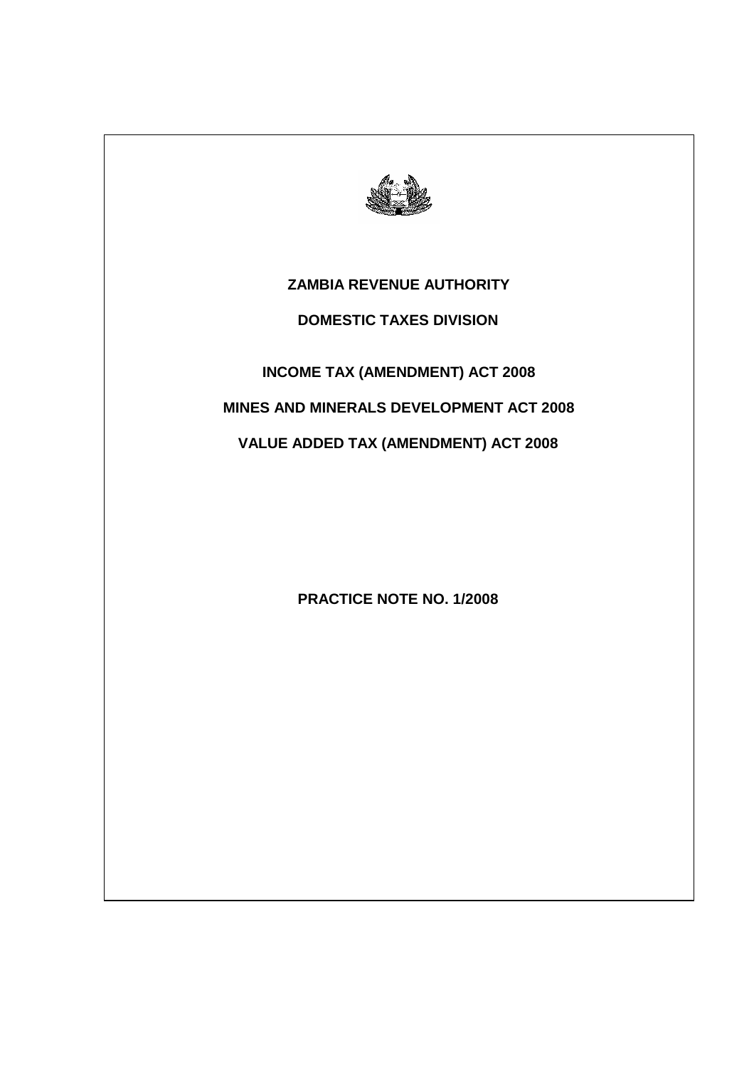

# **ZAMBIA REVENUE AUTHORITY**

# **DOMESTIC TAXES DIVISION**

# **INCOME TAX (AMENDMENT) ACT 2008**

# **MINES AND MINERALS DEVELOPMENT ACT 2008**

# **VALUE ADDED TAX (AMENDMENT) ACT 2008**

# **PRACTICE NOTE NO. 1/2008**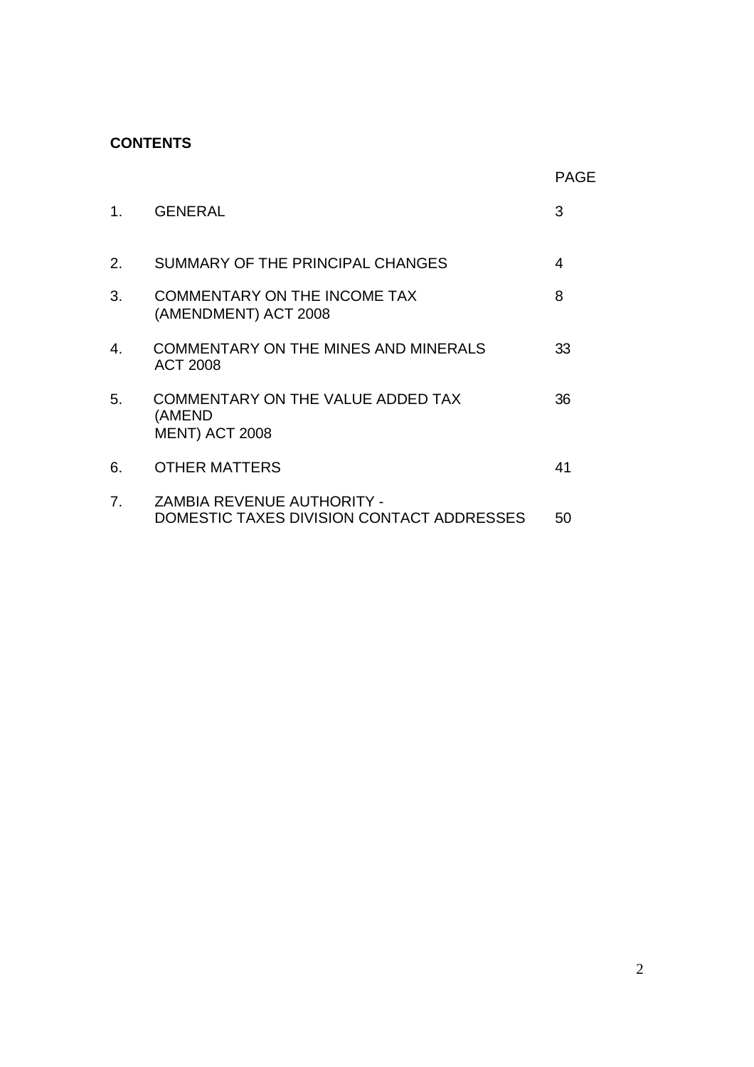# **CONTENTS**

|  | ۰. |  |
|--|----|--|

| 1. | <b>GENERAL</b>                                                          | 3  |
|----|-------------------------------------------------------------------------|----|
| 2. | SUMMARY OF THE PRINCIPAL CHANGES                                        | 4  |
| 3. | <b>COMMENTARY ON THE INCOME TAX</b><br>(AMENDMENT) ACT 2008             | 8  |
| 4. | <b>COMMENTARY ON THE MINES AND MINERALS</b><br>ACT 2008                 | 33 |
| 5. | COMMENTARY ON THE VALUE ADDED TAX<br>(AMEND<br><b>MENT) ACT 2008</b>    | 36 |
| 6. | <b>OTHER MATTERS</b>                                                    | 41 |
| 7. | ZAMBIA REVENUE AUTHORITY -<br>DOMESTIC TAXES DIVISION CONTACT ADDRESSES | 50 |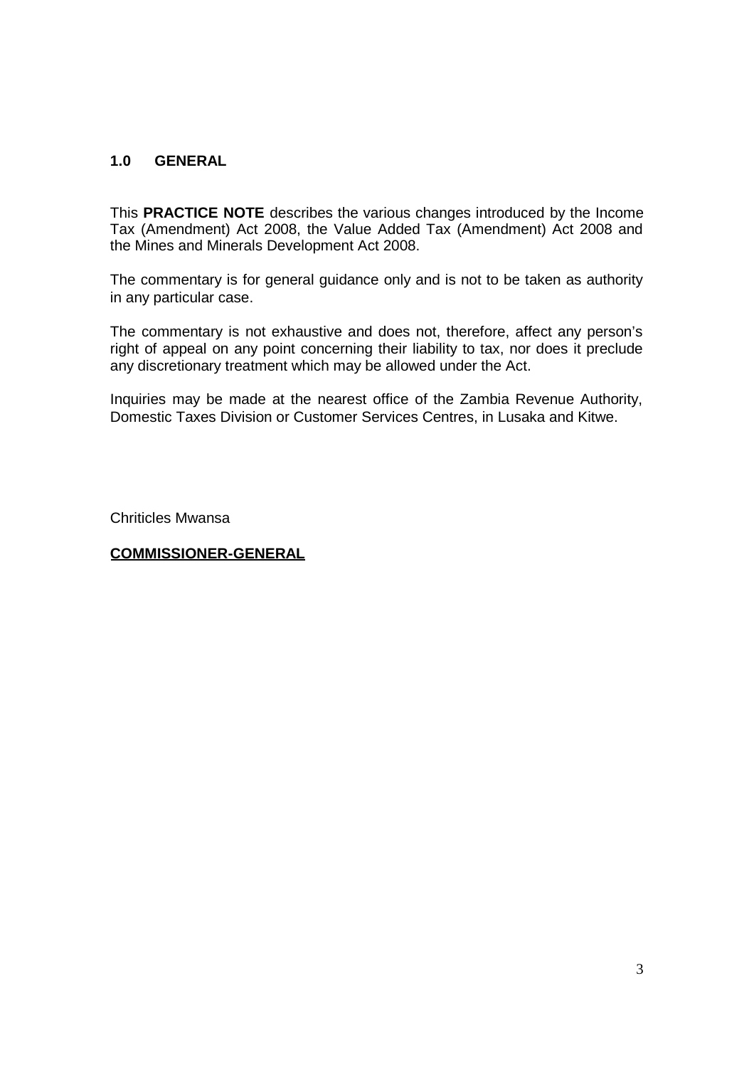# **1.0 GENERAL**

This **PRACTICE NOTE** describes the various changes introduced by the Income Tax (Amendment) Act 2008, the Value Added Tax (Amendment) Act 2008 and the Mines and Minerals Development Act 2008.

The commentary is for general guidance only and is not to be taken as authority in any particular case.

The commentary is not exhaustive and does not, therefore, affect any person's right of appeal on any point concerning their liability to tax, nor does it preclude any discretionary treatment which may be allowed under the Act.

Inquiries may be made at the nearest office of the Zambia Revenue Authority, Domestic Taxes Division or Customer Services Centres, in Lusaka and Kitwe.

Chriticles Mwansa

# **COMMISSIONER-GENERAL**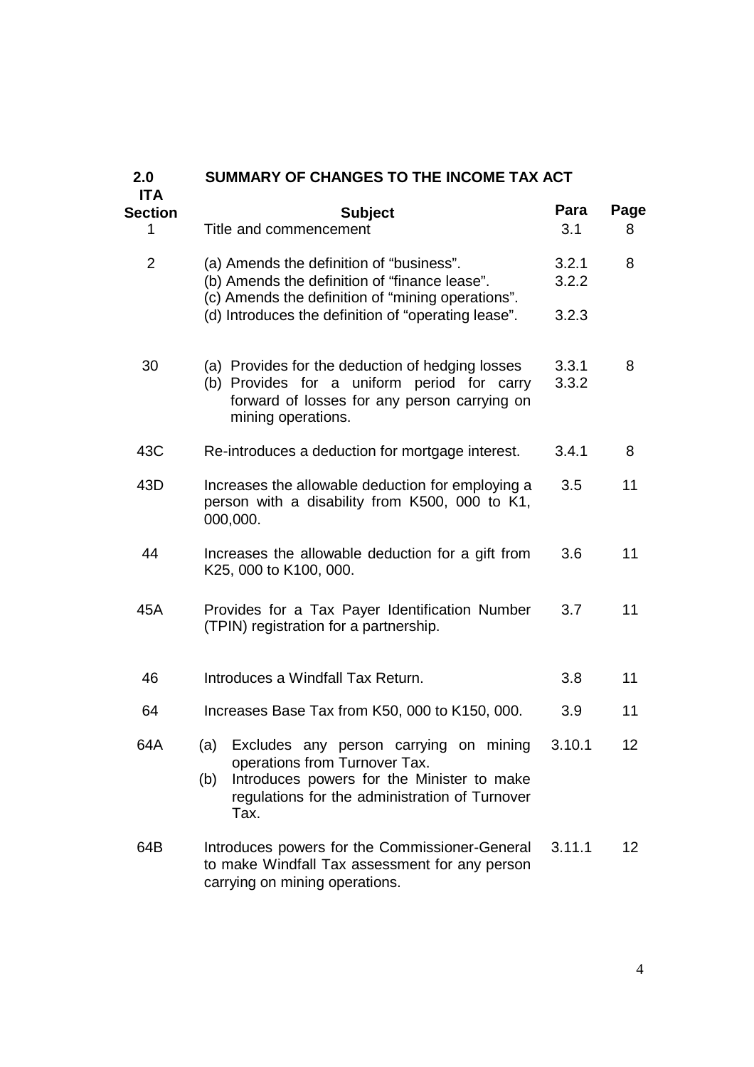| SUMMARY OF CHANGES TO THE INCOME TAX ACT                                                                                                                                                      |                                                   |                 |  |  |  |
|-----------------------------------------------------------------------------------------------------------------------------------------------------------------------------------------------|---------------------------------------------------|-----------------|--|--|--|
| <b>Subject</b><br>Title and commencement                                                                                                                                                      | Para<br>3.1                                       | Page<br>8       |  |  |  |
| (a) Amends the definition of "business".<br>(b) Amends the definition of "finance lease".                                                                                                     | 3.2.1<br>3.2.2                                    | 8               |  |  |  |
| (d) Introduces the definition of "operating lease".                                                                                                                                           | 3.2.3                                             |                 |  |  |  |
| (a) Provides for the deduction of hedging losses<br>(b) Provides for a uniform period for carry<br>forward of losses for any person carrying on<br>mining operations.                         | 3.3.1<br>3.3.2                                    | 8               |  |  |  |
| Re-introduces a deduction for mortgage interest.                                                                                                                                              | 3.4.1                                             | 8               |  |  |  |
| Increases the allowable deduction for employing a<br>person with a disability from K500, 000 to K1,<br>000,000.                                                                               | 3.5                                               | 11              |  |  |  |
| Increases the allowable deduction for a gift from<br>K25, 000 to K100, 000.                                                                                                                   | 3.6                                               | 11              |  |  |  |
| Provides for a Tax Payer Identification Number<br>(TPIN) registration for a partnership.                                                                                                      | 3.7                                               | 11              |  |  |  |
| Introduces a Windfall Tax Return.                                                                                                                                                             | 3.8                                               | 11              |  |  |  |
| Increases Base Tax from K50, 000 to K150, 000.                                                                                                                                                | 3.9                                               | 11              |  |  |  |
| (a)<br>Excludes any person carrying on mining<br>operations from Turnover Tax.<br>Introduces powers for the Minister to make<br>(b)<br>regulations for the administration of Turnover<br>Tax. | 3.10.1                                            | 12 <sub>2</sub> |  |  |  |
| Introduces powers for the Commissioner-General<br>to make Windfall Tax assessment for any person<br>carrying on mining operations.                                                            | 3.11.1                                            | 12 <sup>2</sup> |  |  |  |
|                                                                                                                                                                                               | (c) Amends the definition of "mining operations". |                 |  |  |  |

4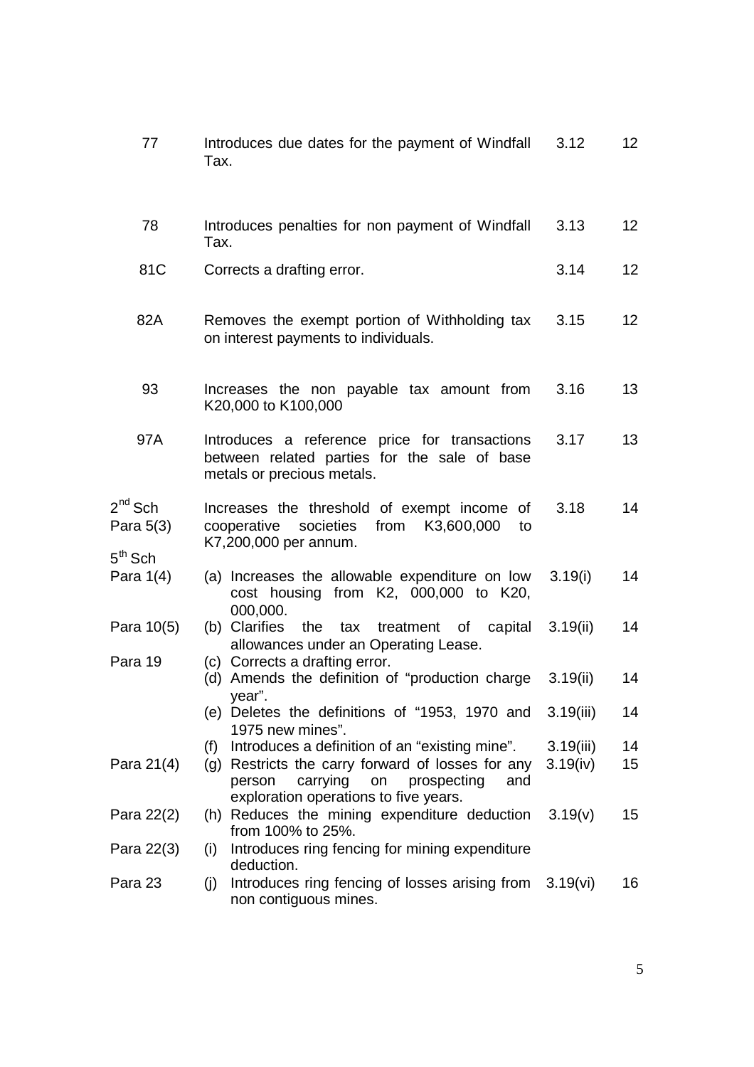| 77                          | Introduces due dates for the payment of Windfall<br>Tax.                                                                                     | 3.12      | 12              |
|-----------------------------|----------------------------------------------------------------------------------------------------------------------------------------------|-----------|-----------------|
| 78                          | Introduces penalties for non payment of Windfall<br>Tax.                                                                                     | 3.13      | 12 <sub>2</sub> |
| 81C                         | Corrects a drafting error.                                                                                                                   | 3.14      | 12              |
| 82A                         | Removes the exempt portion of Withholding tax<br>on interest payments to individuals.                                                        | 3.15      | 12 <sub>2</sub> |
| 93                          | Increases the non payable tax amount from<br>K20,000 to K100,000                                                                             | 3.16      | 13              |
| 97A                         | Introduces a reference price for transactions<br>between related parties for the sale of base<br>metals or precious metals.                  | 3.17      | 13              |
| $2^{nd}$ Sch<br>Para $5(3)$ | Increases the threshold of exempt income of<br>societies<br>from K3,600,000<br>cooperative<br>to<br>K7,200,000 per annum.                    | 3.18      | 14              |
| $5th$ Sch<br>Para $1(4)$    | (a) Increases the allowable expenditure on low<br>cost housing from K2, 000,000 to K20,<br>000,000.                                          | 3.19(i)   | 14              |
| Para 10(5)                  | (b) Clarifies the tax treatment of capital<br>allowances under an Operating Lease.                                                           | 3.19(ii)  | 14              |
| Para 19                     | (c) Corrects a drafting error.<br>(d) Amends the definition of "production charge<br>year".                                                  | 3.19(ii)  | 14              |
|                             | (e) Deletes the definitions of "1953, 1970 and<br>1975 new mines".                                                                           | 3.19(iii) | 14              |
|                             | Introduces a definition of an "existing mine".<br>(f)                                                                                        | 3.19(iii) | 14              |
| Para 21(4)                  | (g) Restricts the carry forward of losses for any<br>carrying<br>prospecting<br>and<br>person<br>on<br>exploration operations to five years. | 3.19(iv)  | 15              |
| Para 22(2)                  | (h) Reduces the mining expenditure deduction<br>from 100% to 25%.                                                                            | 3.19(v)   | 15              |
| Para 22(3)                  | Introduces ring fencing for mining expenditure<br>(i)<br>deduction.                                                                          |           |                 |
| Para 23                     | Introduces ring fencing of losses arising from<br>(j)<br>non contiguous mines.                                                               | 3.19(vi)  | 16              |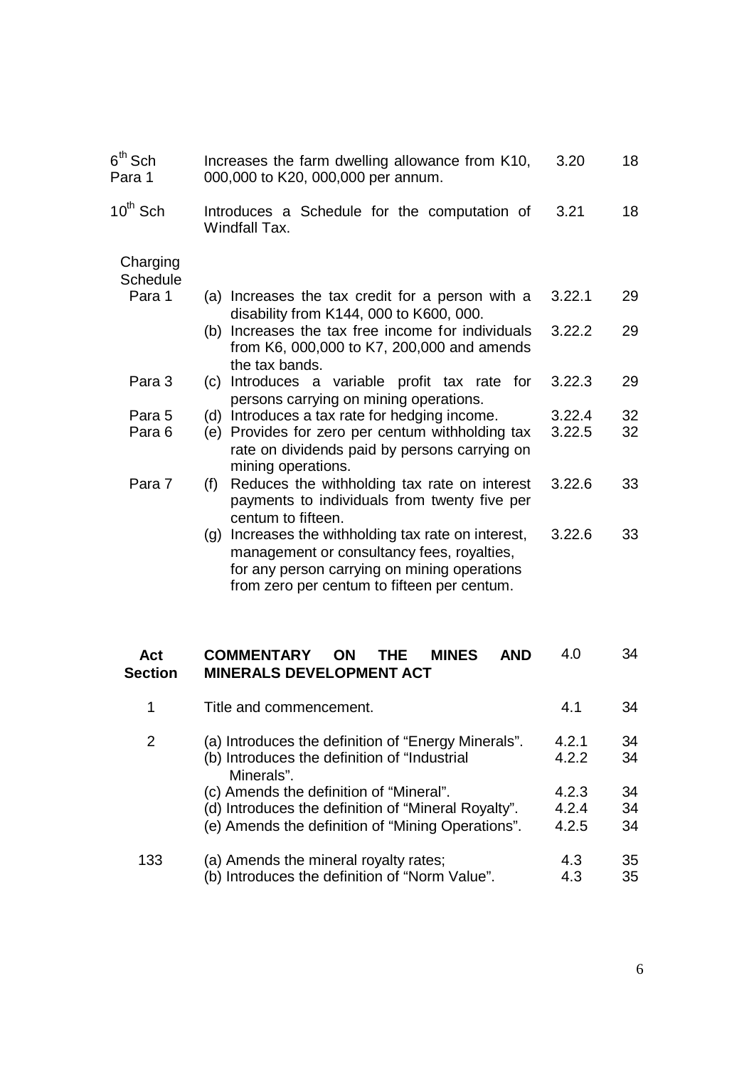| $6^\mathsf{th}$ Sch<br>Para 1 | Increases the farm dwelling allowance from K10,<br>000,000 to K20, 000,000 per annum.                                                                                                               | 3.20   | 18 |
|-------------------------------|-----------------------------------------------------------------------------------------------------------------------------------------------------------------------------------------------------|--------|----|
| $10^{th}$ Sch                 | Introduces a Schedule for the computation of<br>Windfall Tax.                                                                                                                                       | 3.21   | 18 |
| Charging<br><b>Schedule</b>   |                                                                                                                                                                                                     |        |    |
| Para 1                        | (a) Increases the tax credit for a person with a<br>disability from K144, 000 to K600, 000.                                                                                                         | 3.22.1 | 29 |
|                               | (b) Increases the tax free income for individuals<br>from K6, 000,000 to K7, 200,000 and amends<br>the tax bands.                                                                                   | 3.22.2 | 29 |
| Para 3                        | Introduces a variable profit tax rate for<br>(c)<br>persons carrying on mining operations.                                                                                                          | 3.22.3 | 29 |
| Para 5                        | Introduces a tax rate for hedging income.<br>(d)                                                                                                                                                    | 3.22.4 | 32 |
| Para 6                        | Provides for zero per centum withholding tax<br>(e)<br>rate on dividends paid by persons carrying on<br>mining operations.                                                                          | 3.22.5 | 32 |
| Para 7                        | Reduces the withholding tax rate on interest<br>(f)<br>payments to individuals from twenty five per<br>centum to fifteen.                                                                           | 3.22.6 | 33 |
|                               | Increases the withholding tax rate on interest,<br>(q)<br>management or consultancy fees, royalties,<br>for any person carrying on mining operations<br>from zero per centum to fifteen per centum. | 3.22.6 | 33 |
| Act<br><b>Section</b>         | <b>COMMENTARY</b><br><b>ON</b><br><b>THE</b><br><b>MINES</b><br><b>AND</b><br><b>MINERALS DEVELOPMENT ACT</b>                                                                                       | 4.0    | 34 |
| 1                             | Title and commencement.                                                                                                                                                                             | 4.1    | 34 |
| 2                             | (a) Introduces the definition of "Energy Minerals".                                                                                                                                                 | 4.2.1  | 34 |
|                               | (b) Introduces the definition of "Industrial<br>Minerals".                                                                                                                                          | 4.2.2  | 34 |
|                               | (c) Amends the definition of "Mineral".                                                                                                                                                             | 4.2.3  | 34 |
|                               | (d) Introduces the definition of "Mineral Royalty".                                                                                                                                                 | 4.2.4  | 34 |
|                               | (e) Amends the definition of "Mining Operations".                                                                                                                                                   | 4.2.5  | 34 |
| 133                           | (a) Amends the mineral royalty rates;                                                                                                                                                               | 4.3    | 35 |
|                               | (b) Introduces the definition of "Norm Value".                                                                                                                                                      | 4.3    | 35 |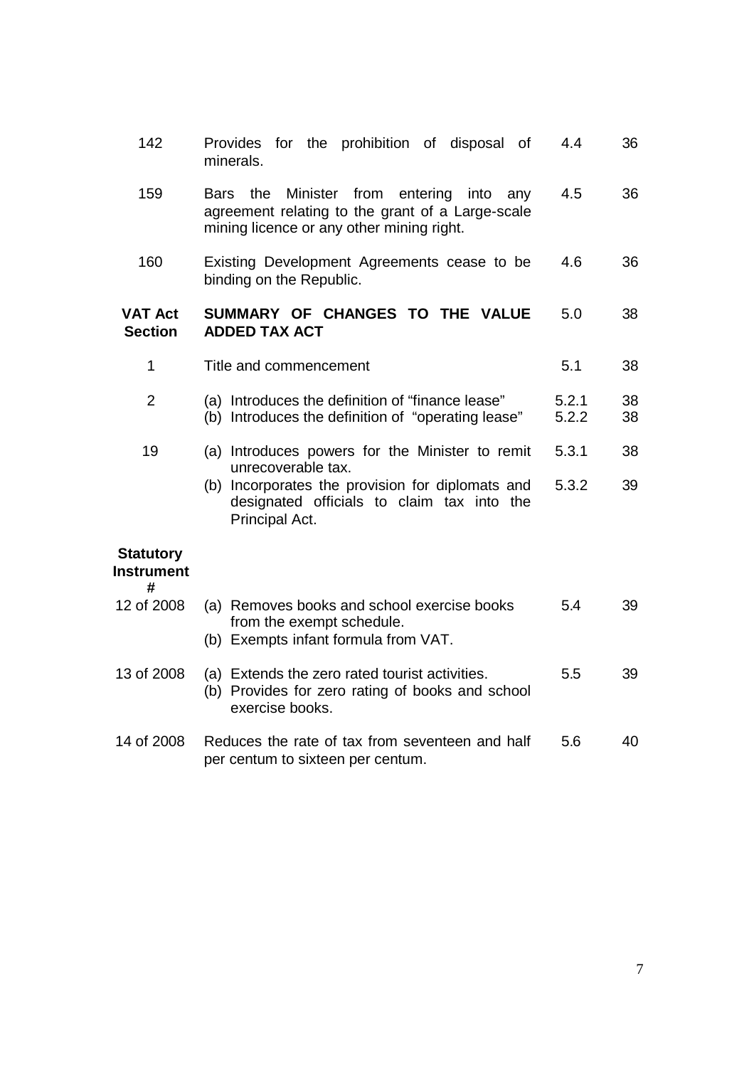| 142                                        | Provides for the prohibition of disposal of<br>minerals.                                                                                                 | 4.4            | 36       |
|--------------------------------------------|----------------------------------------------------------------------------------------------------------------------------------------------------------|----------------|----------|
| 159                                        | the<br>Minister from<br>entering<br>into<br>Bars<br>any<br>agreement relating to the grant of a Large-scale<br>mining licence or any other mining right. | 4.5            | 36       |
| 160                                        | Existing Development Agreements cease to be<br>binding on the Republic.                                                                                  | 4.6            | 36       |
| <b>VAT Act</b><br><b>Section</b>           | SUMMARY OF CHANGES TO THE VALUE<br><b>ADDED TAX ACT</b>                                                                                                  | 5.0            | 38       |
| $\mathbf{1}$                               | Title and commencement                                                                                                                                   | 5.1            | 38       |
| $\overline{2}$                             | (a) Introduces the definition of "finance lease"<br>(b) Introduces the definition of "operating lease"                                                   | 5.2.1<br>5.2.2 | 38<br>38 |
| 19                                         | (a) Introduces powers for the Minister to remit<br>unrecoverable tax.                                                                                    | 5.3.1          | 38       |
|                                            | Incorporates the provision for diplomats and<br>(b)<br>designated officials to claim tax into the<br>Principal Act.                                      | 5.3.2          | 39       |
| <b>Statutory</b><br><b>Instrument</b><br># |                                                                                                                                                          |                |          |
| 12 of 2008                                 | (a) Removes books and school exercise books<br>from the exempt schedule.<br>(b) Exempts infant formula from VAT.                                         | 5.4            | 39       |
| 13 of 2008                                 | (a) Extends the zero rated tourist activities.<br>(b) Provides for zero rating of books and school<br>exercise books.                                    | 5.5            | 39       |
| 14 of 2008                                 | Reduces the rate of tax from seventeen and half<br>per centum to sixteen per centum.                                                                     | 5.6            | 40       |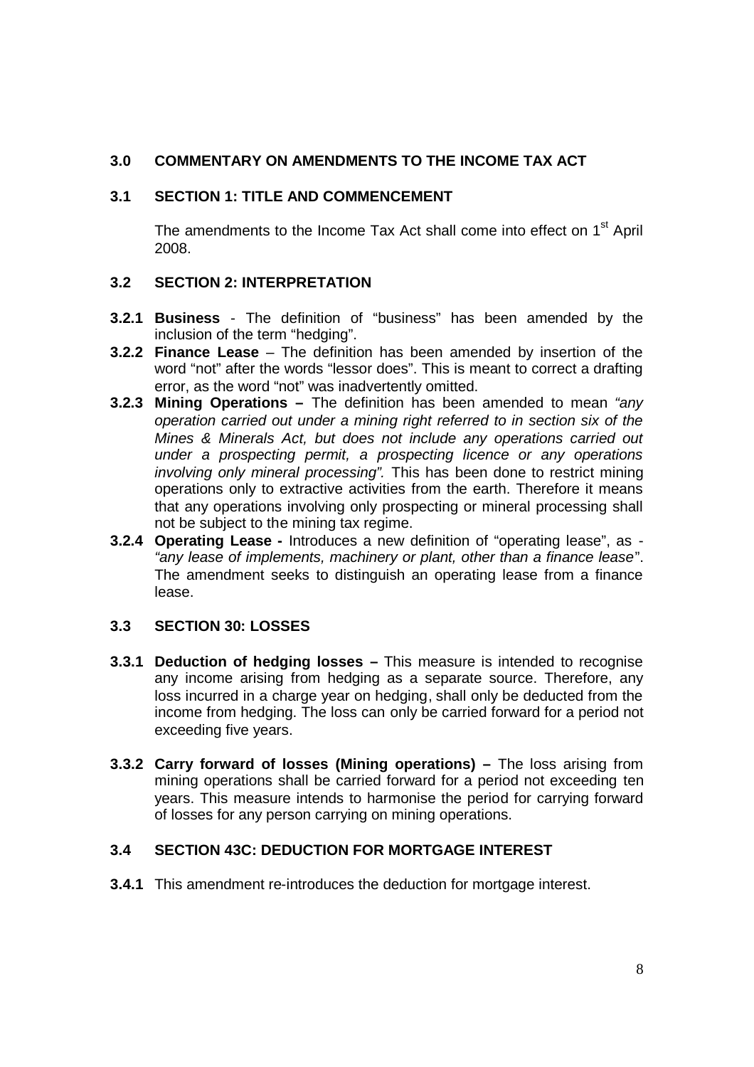# **3.0 COMMENTARY ON AMENDMENTS TO THE INCOME TAX ACT**

# **3.1 SECTION 1: TITLE AND COMMENCEMENT**

The amendments to the Income Tax Act shall come into effect on 1<sup>st</sup> April 2008.

# **3.2 SECTION 2: INTERPRETATION**

- **3.2.1 Business** The definition of "business" has been amended by the inclusion of the term "hedging".
- **3.2.2 Finance Lease** The definition has been amended by insertion of the word "not" after the words "lessor does". This is meant to correct a drafting error, as the word "not" was inadvertently omitted.
- **3.2.3 Mining Operations –** The definition has been amended to mean *"any operation carried out under a mining right referred to in section six of the Mines & Minerals Act, but does not include any operations carried out under a prospecting permit, a prospecting licence or any operations involving only mineral processing".* This has been done to restrict mining operations only to extractive activities from the earth. Therefore it means that any operations involving only prospecting or mineral processing shall not be subject to the mining tax regime.
- **3.2.4 Operating Lease -** Introduces a new definition of "operating lease", as *"any lease of implements, machinery or plant, other than a finance lease*". The amendment seeks to distinguish an operating lease from a finance lease.

# **3.3 SECTION 30: LOSSES**

- **3.3.1 Deduction of hedging losses –** This measure is intended to recognise any income arising from hedging as a separate source. Therefore, any loss incurred in a charge year on hedging, shall only be deducted from the income from hedging. The loss can only be carried forward for a period not exceeding five years.
- **3.3.2 Carry forward of losses (Mining operations) –** The loss arising from mining operations shall be carried forward for a period not exceeding ten years. This measure intends to harmonise the period for carrying forward of losses for any person carrying on mining operations.

# **3.4 SECTION 43C: DEDUCTION FOR MORTGAGE INTEREST**

**3.4.1** This amendment re-introduces the deduction for mortgage interest.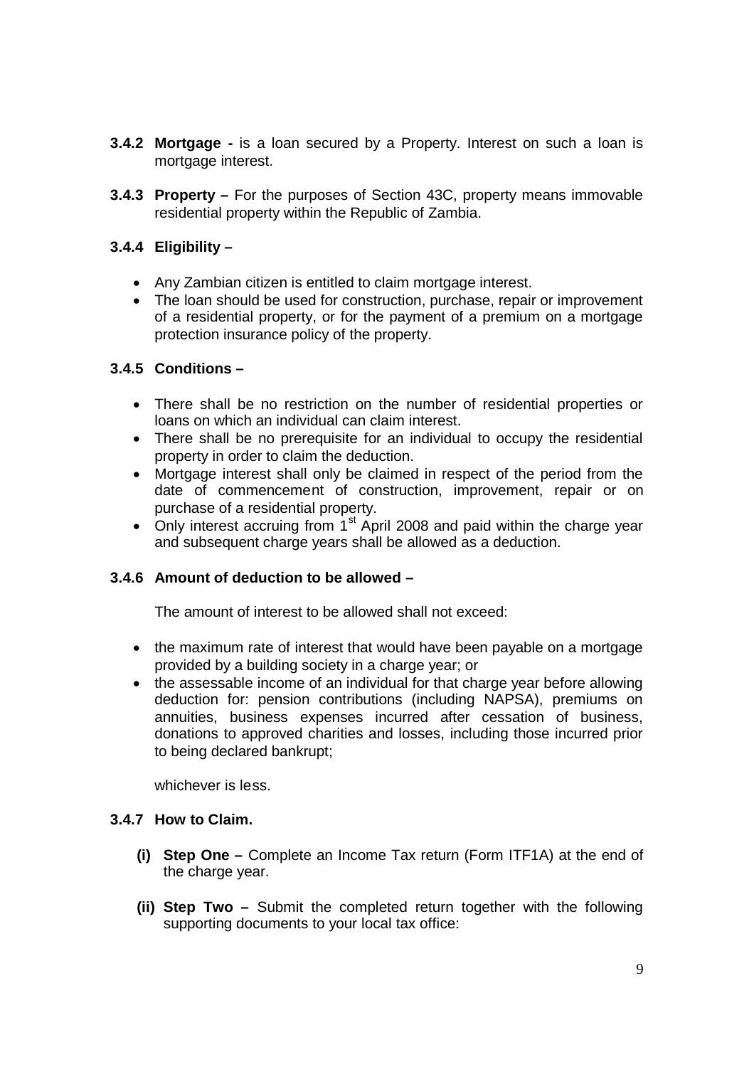- **3.4.2 Mortgage -** is a loan secured by a Property. Interest on such a loan is mortgage interest.
- **3.4.3 Property –** For the purposes of Section 43C, property means immovable residential property within the Republic of Zambia.

# **3.4.4 Eligibility –**

- Any Zambian citizen is entitled to claim mortgage interest.
- The loan should be used for construction, purchase, repair or improvement of a residential property, or for the payment of a premium on a mortgage protection insurance policy of the property.

# **3.4.5 Conditions –**

- There shall be no restriction on the number of residential properties or loans on which an individual can claim interest.
- There shall be no prerequisite for an individual to occupy the residential property in order to claim the deduction.
- Mortgage interest shall only be claimed in respect of the period from the date of commencement of construction, improvement, repair or on purchase of a residential property.
- Only interest accruing from  $1<sup>st</sup>$  April 2008 and paid within the charge year and subsequent charge years shall be allowed as a deduction.

# **3.4.6 Amount of deduction to be allowed –**

The amount of interest to be allowed shall not exceed:

- the maximum rate of interest that would have been payable on a mortgage provided by a building society in a charge year; or
- the assessable income of an individual for that charge year before allowing deduction for: pension contributions (including NAPSA), premiums on annuities, business expenses incurred after cessation of business, donations to approved charities and losses, including those incurred prior to being declared bankrupt;

whichever is less.

### **3.4.7 How to Claim.**

- **(i) Step One –** Complete an Income Tax return (Form ITF1A) at the end of the charge year.
- **(ii) Step Two –** Submit the completed return together with the following supporting documents to your local tax office: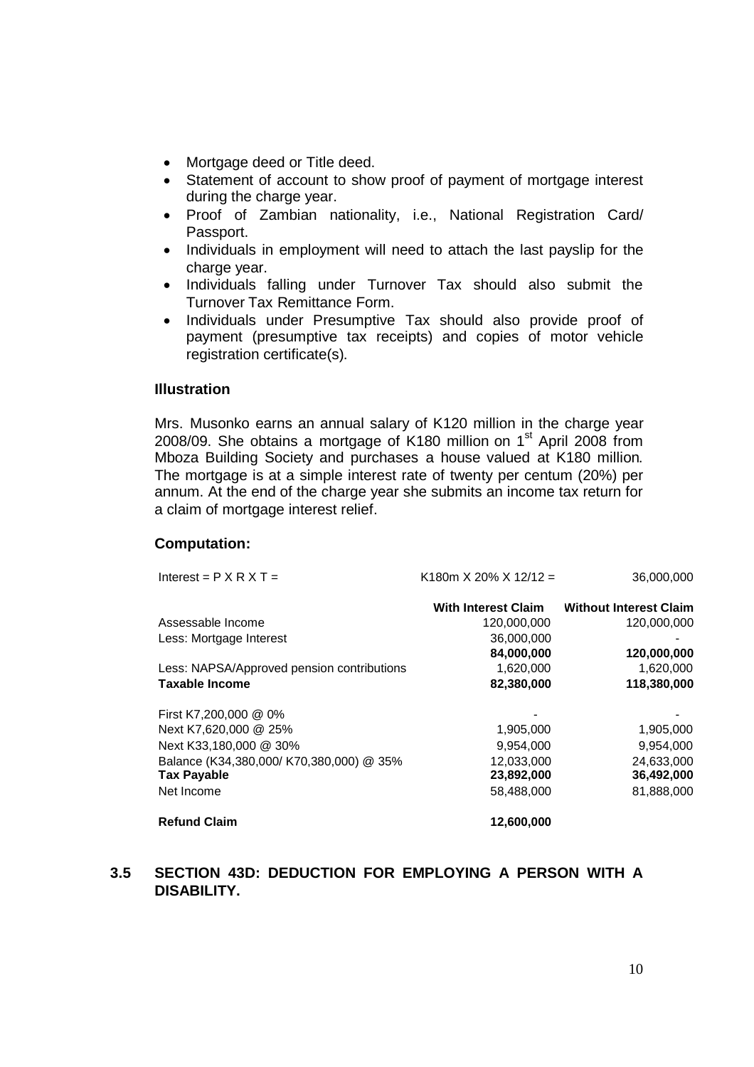- Mortgage deed or Title deed.
- Statement of account to show proof of payment of mortgage interest during the charge year.
- Proof of Zambian nationality, i.e., National Registration Card/ Passport.
- Individuals in employment will need to attach the last payslip for the charge year.
- Individuals falling under Turnover Tax should also submit the Turnover Tax Remittance Form.
- Individuals under Presumptive Tax should also provide proof of payment (presumptive tax receipts) and copies of motor vehicle registration certificate(s).

### **Illustration**

Mrs. Musonko earns an annual salary of K120 million in the charge year 2008/09. She obtains a mortgage of K180 million on  $1<sup>st</sup>$  April 2008 from Mboza Building Society and purchases a house valued at K180 million. The mortgage is at a simple interest rate of twenty per centum (20%) per annum. At the end of the charge year she submits an income tax return for a claim of mortgage interest relief.

### **Computation:**

| Interest = $P X R X T =$                   | K180m X 20% X 12/12 = | 36,000,000                    |
|--------------------------------------------|-----------------------|-------------------------------|
|                                            | With Interest Claim   | <b>Without Interest Claim</b> |
| Assessable Income                          | 120,000,000           | 120,000,000                   |
| Less: Mortgage Interest                    | 36,000,000            |                               |
|                                            | 84,000,000            | 120,000,000                   |
| Less: NAPSA/Approved pension contributions | 1,620,000             | 1,620,000                     |
| <b>Taxable Income</b>                      | 82,380,000            | 118,380,000                   |
| First K7,200,000 @ 0%                      |                       |                               |
| Next K7,620,000 @ 25%                      | 1,905,000             | 1,905,000                     |
| Next K33,180,000 @ 30%                     | 9,954,000             | 9,954,000                     |
| Balance (K34,380,000/ K70,380,000) @ 35%   | 12,033,000            | 24,633,000                    |
| <b>Tax Payable</b>                         | 23,892,000            | 36,492,000                    |
| Net Income                                 | 58,488,000            | 81,888,000                    |
| <b>Refund Claim</b>                        | 12,600,000            |                               |

# **3.5 SECTION 43D: DEDUCTION FOR EMPLOYING A PERSON WITH A DISABILITY.**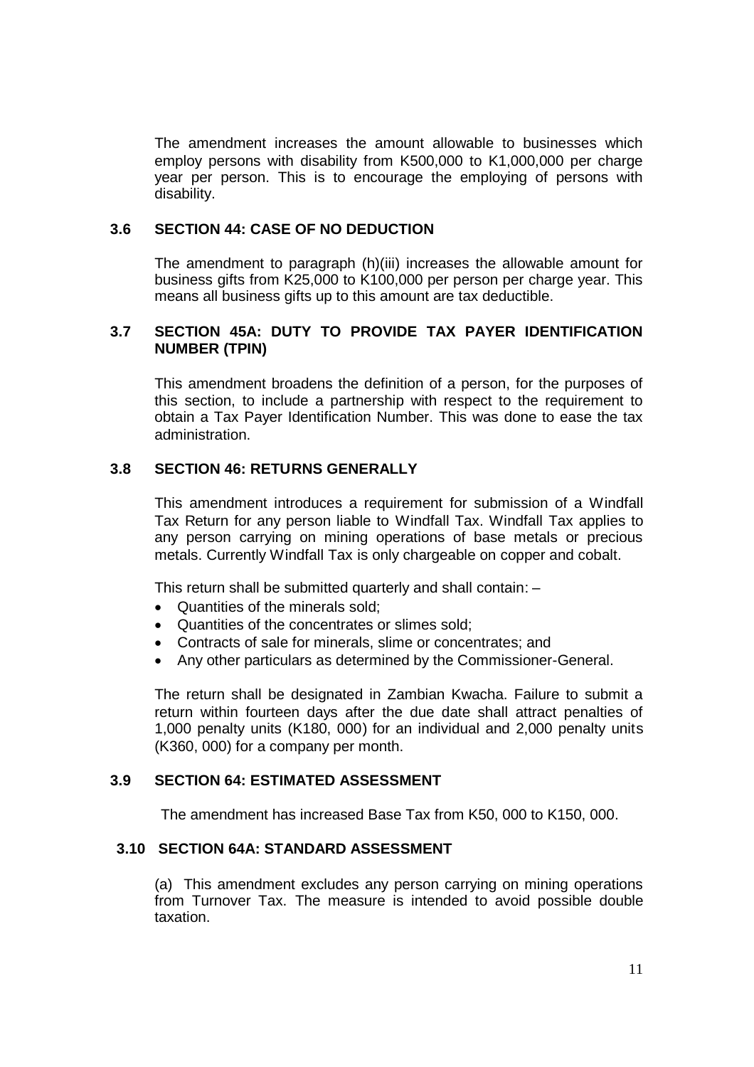The amendment increases the amount allowable to businesses which employ persons with disability from K500,000 to K1,000,000 per charge year per person. This is to encourage the employing of persons with disability.

### **3.6 SECTION 44: CASE OF NO DEDUCTION**

The amendment to paragraph (h)(iii) increases the allowable amount for business gifts from K25,000 to K100,000 per person per charge year. This means all business gifts up to this amount are tax deductible.

### **3.7 SECTION 45A: DUTY TO PROVIDE TAX PAYER IDENTIFICATION NUMBER (TPIN)**

This amendment broadens the definition of a person, for the purposes of this section, to include a partnership with respect to the requirement to obtain a Tax Payer Identification Number. This was done to ease the tax administration.

### **3.8 SECTION 46: RETURNS GENERALLY**

This amendment introduces a requirement for submission of a Windfall Tax Return for any person liable to Windfall Tax. Windfall Tax applies to any person carrying on mining operations of base metals or precious metals. Currently Windfall Tax is only chargeable on copper and cobalt.

This return shall be submitted quarterly and shall contain: –

- Quantities of the minerals sold:
- Quantities of the concentrates or slimes sold;
- Contracts of sale for minerals, slime or concentrates; and
- Any other particulars as determined by the Commissioner-General.

The return shall be designated in Zambian Kwacha. Failure to submit a return within fourteen days after the due date shall attract penalties of 1,000 penalty units (K180, 000) for an individual and 2,000 penalty units (K360, 000) for a company per month.

### **3.9 SECTION 64: ESTIMATED ASSESSMENT**

The amendment has increased Base Tax from K50, 000 to K150, 000.

### **3.10 SECTION 64A: STANDARD ASSESSMENT**

(a) This amendment excludes any person carrying on mining operations from Turnover Tax. The measure is intended to avoid possible double taxation.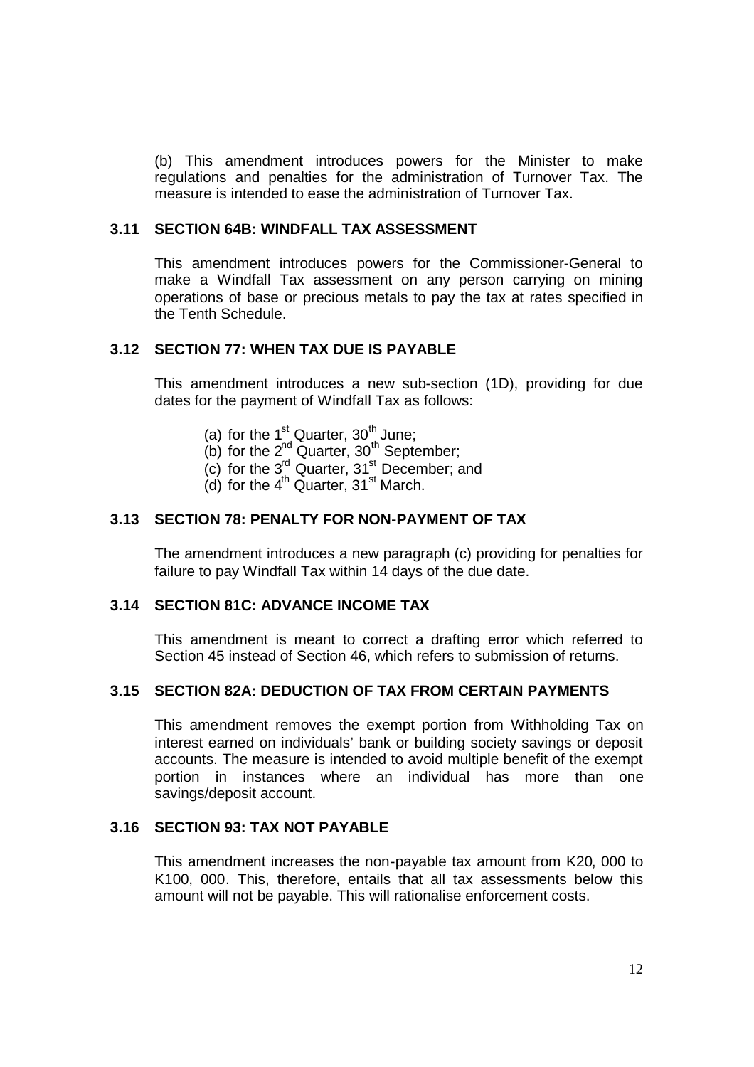(b) This amendment introduces powers for the Minister to make regulations and penalties for the administration of Turnover Tax. The measure is intended to ease the administration of Turnover Tax.

### **3.11 SECTION 64B: WINDFALL TAX ASSESSMENT**

This amendment introduces powers for the Commissioner-General to make a Windfall Tax assessment on any person carrying on mining operations of base or precious metals to pay the tax at rates specified in the Tenth Schedule.

#### **3.12 SECTION 77: WHEN TAX DUE IS PAYABLE**

This amendment introduces a new sub-section (1D), providing for due dates for the payment of Windfall Tax as follows:

- (a) for the  $1<sup>st</sup>$  Quarter,  $30<sup>th</sup>$  June;
- (b) for the  $2^{nd}$  Quarter,  $30^{th}$  September;
- $(c)$  for the 3<sup>rd</sup> Quarter, 31<sup>st</sup> December; and
- (d) for the  $4<sup>th</sup>$  Quarter,  $31<sup>st</sup>$  March.

#### **3.13 SECTION 78: PENALTY FOR NON-PAYMENT OF TAX**

The amendment introduces a new paragraph (c) providing for penalties for failure to pay Windfall Tax within 14 days of the due date.

### **3.14 SECTION 81C: ADVANCE INCOME TAX**

This amendment is meant to correct a drafting error which referred to Section 45 instead of Section 46, which refers to submission of returns.

### **3.15 SECTION 82A: DEDUCTION OF TAX FROM CERTAIN PAYMENTS**

This amendment removes the exempt portion from Withholding Tax on interest earned on individuals' bank or building society savings or deposit accounts. The measure is intended to avoid multiple benefit of the exempt portion in instances where an individual has more than one savings/deposit account.

### **3.16 SECTION 93: TAX NOT PAYABLE**

This amendment increases the non-payable tax amount from K20, 000 to K100, 000. This, therefore, entails that all tax assessments below this amount will not be payable. This will rationalise enforcement costs.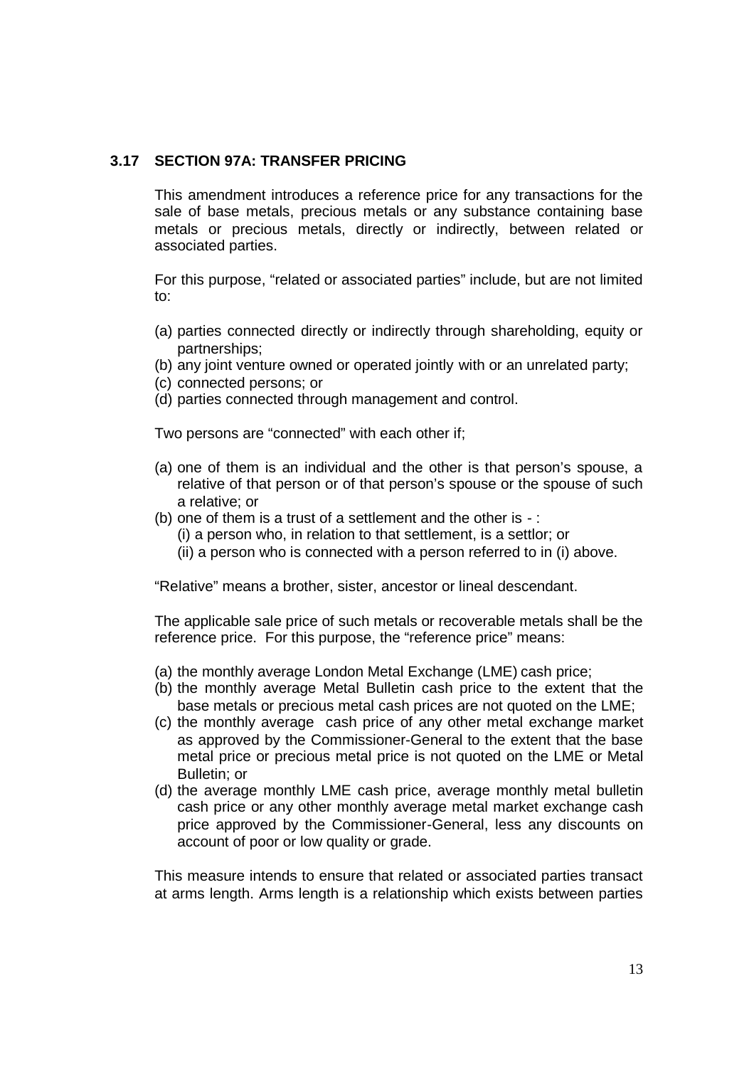### **3.17 SECTION 97A: TRANSFER PRICING**

This amendment introduces a reference price for any transactions for the sale of base metals, precious metals or any substance containing base metals or precious metals, directly or indirectly, between related or associated parties.

For this purpose, "related or associated parties" include, but are not limited to:

- (a) parties connected directly or indirectly through shareholding, equity or partnerships;
- (b) any joint venture owned or operated jointly with or an unrelated party;
- (c) connected persons; or
- (d) parties connected through management and control.

Two persons are "connected" with each other if;

- (a) one of them is an individual and the other is that person's spouse, a relative of that person or of that person's spouse or the spouse of such a relative; or
- (b) one of them is a trust of a settlement and the other is  $-$ :
	- (i) a person who, in relation to that settlement, is a settlor; or
	- (ii) a person who is connected with a person referred to in (i) above.

"Relative" means a brother, sister, ancestor or lineal descendant.

The applicable sale price of such metals or recoverable metals shall be the reference price. For this purpose, the "reference price" means:

- (a) the monthly average London Metal Exchange (LME) cash price;
- (b) the monthly average Metal Bulletin cash price to the extent that the base metals or precious metal cash prices are not quoted on the LME;
- (c) the monthly average cash price of any other metal exchange market as approved by the Commissioner-General to the extent that the base metal price or precious metal price is not quoted on the LME or Metal Bulletin; or
- (d) the average monthly LME cash price, average monthly metal bulletin cash price or any other monthly average metal market exchange cash price approved by the Commissioner-General, less any discounts on account of poor or low quality or grade.

This measure intends to ensure that related or associated parties transact at arms length. Arms length is a relationship which exists between parties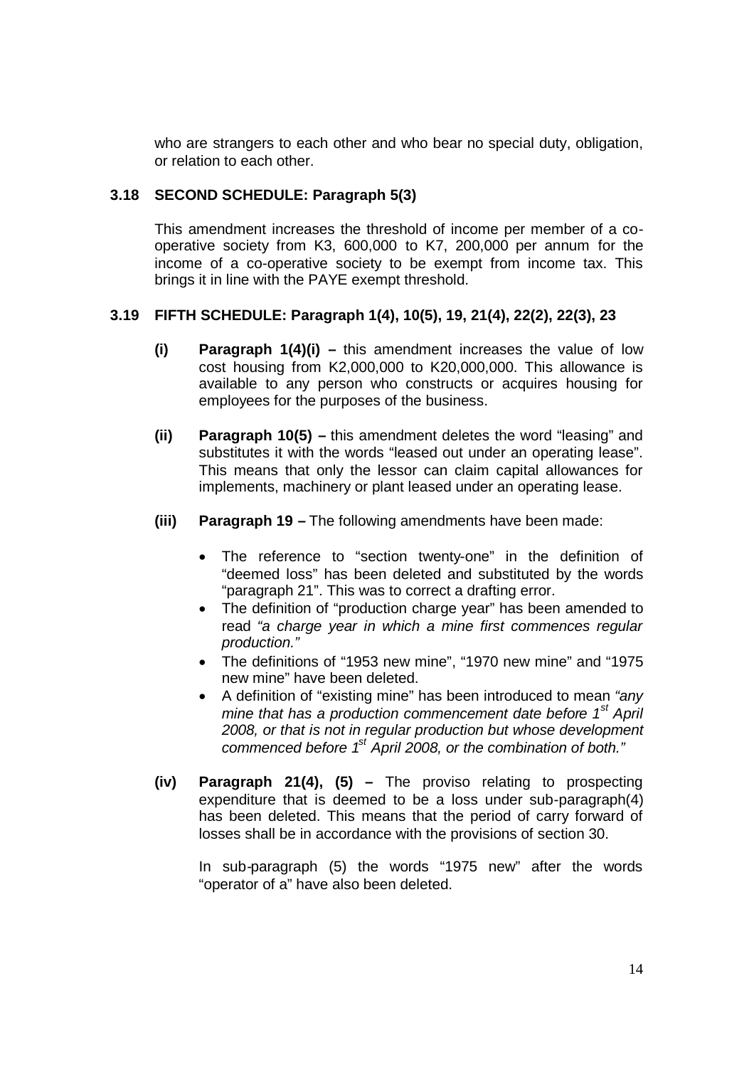who are strangers to each other and who bear no special duty, obligation, or relation to each other.

# **3.18 SECOND SCHEDULE: Paragraph 5(3)**

This amendment increases the threshold of income per member of a cooperative society from K3, 600,000 to K7, 200,000 per annum for the income of a co-operative society to be exempt from income tax. This brings it in line with the PAYE exempt threshold.

### **3.19 FIFTH SCHEDULE: Paragraph 1(4), 10(5), 19, 21(4), 22(2), 22(3), 23**

- **(i) Paragraph 1(4)(i) –** this amendment increases the value of low cost housing from K2,000,000 to K20,000,000. This allowance is available to any person who constructs or acquires housing for employees for the purposes of the business.
- **(ii) Paragraph 10(5) –** this amendment deletes the word "leasing" and substitutes it with the words "leased out under an operating lease". This means that only the lessor can claim capital allowances for implements, machinery or plant leased under an operating lease.
- **(iii) Paragraph 19 –** The following amendments have been made:
	- The reference to "section twenty-one" in the definition of "deemed loss" has been deleted and substituted by the words "paragraph 21". This was to correct a drafting error.
	- The definition of "production charge year" has been amended to read *"a charge year in which a mine first commences regular production."*
	- The definitions of "1953 new mine", "1970 new mine" and "1975 new mine" have been deleted.
	- A definition of "existing mine" has been introduced to mean *"any mine that has a production commencement date before 1st April 2008, or that is not in regular production but whose development commenced before 1st April 2008, or the combination of both."*
- **(iv) Paragraph 21(4), (5) –** The proviso relating to prospecting expenditure that is deemed to be a loss under sub-paragraph(4) has been deleted. This means that the period of carry forward of losses shall be in accordance with the provisions of section 30.

In sub-paragraph (5) the words "1975 new" after the words "operator of a" have also been deleted.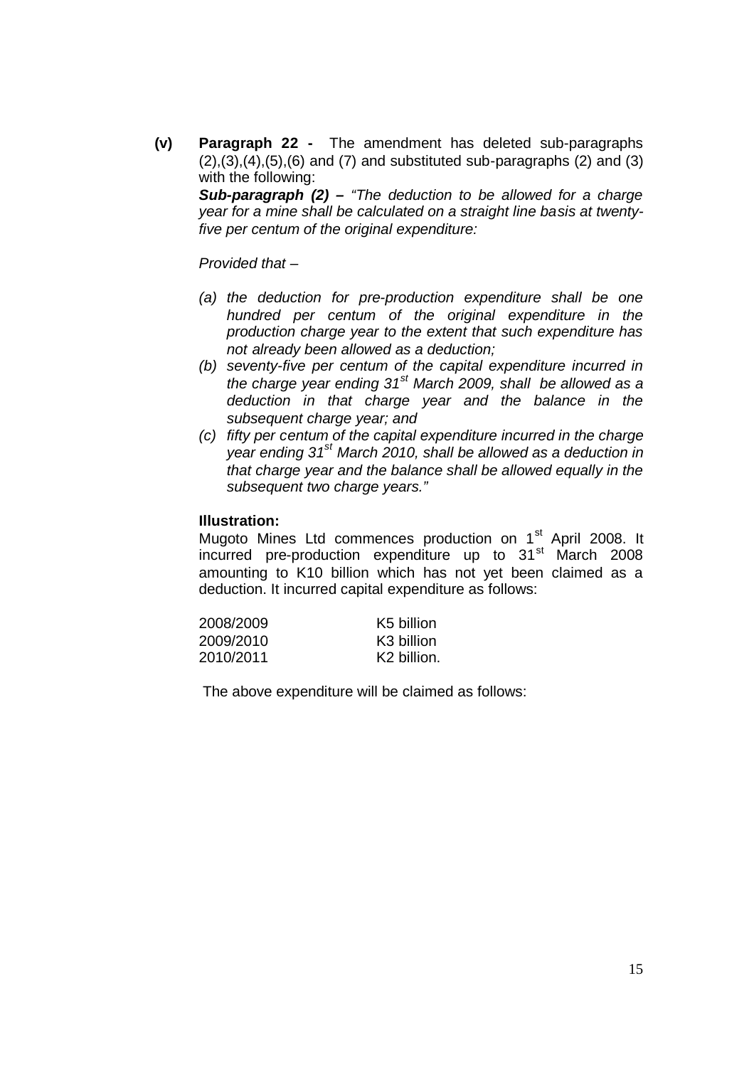**(v) Paragraph 22 -** The amendment has deleted sub-paragraphs  $(2), (3), (4), (5), (6)$  and  $(7)$  and substituted sub-paragraphs  $(2)$  and  $(3)$ with the following:

*Sub-paragraph (2) – "The deduction to be allowed for a charge year for a mine shall be calculated on a straight line basis at twentyfive per centum of the original expenditure:*

*Provided that –*

- *(a) the deduction for pre-production expenditure shall be one hundred per centum of the original expenditure in the production charge year to the extent that such expenditure has not already been allowed as a deduction;*
- *(b) seventy-five per centum of the capital expenditure incurred in the charge year ending 31st March 2009, shall be allowed as a deduction in that charge year and the balance in the subsequent charge year; and*
- *(c) fifty per centum of the capital expenditure incurred in the charge year ending 31st March 2010, shall be allowed as a deduction in that charge year and the balance shall be allowed equally in the subsequent two charge years."*

### **Illustration:**

Mugoto Mines Ltd commences production on 1<sup>st</sup> April 2008. It incurred pre-production expenditure up to 31<sup>st</sup> March 2008 amounting to K10 billion which has not yet been claimed as a deduction. It incurred capital expenditure as follows:

| 2008/2009 | K5 billion              |
|-----------|-------------------------|
| 2009/2010 | K <sub>3</sub> billion  |
| 2010/2011 | K <sub>2</sub> billion. |

The above expenditure will be claimed as follows: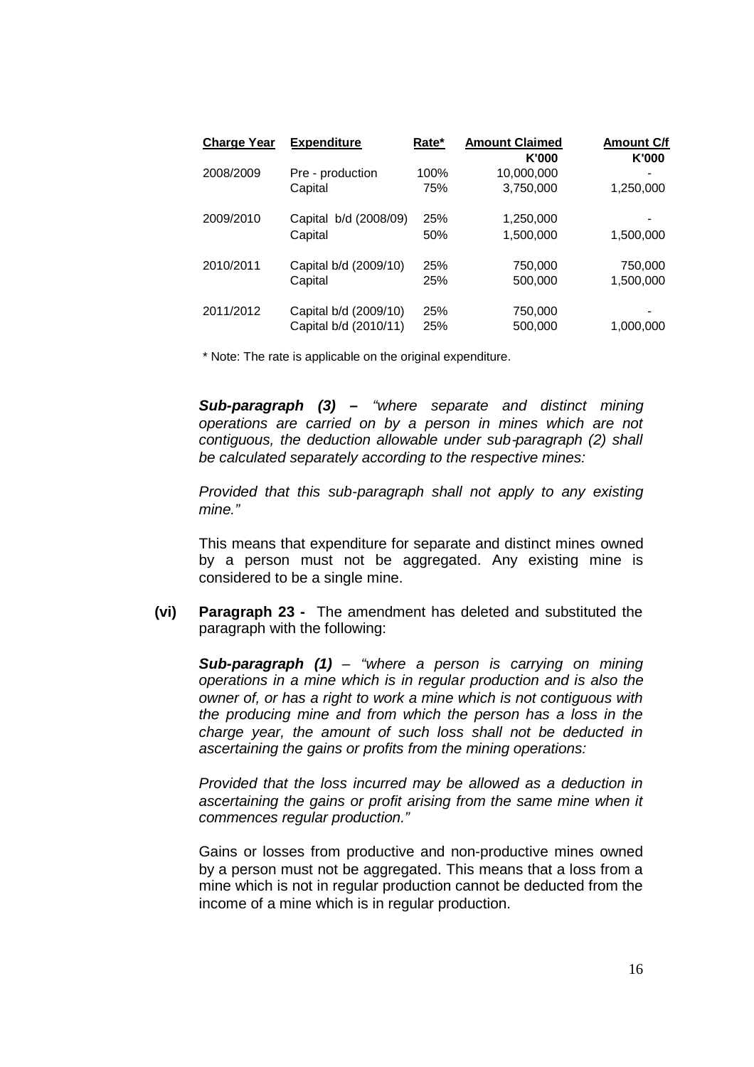| <b>Charge Year</b> | <b>Expenditure</b>               | Rate*      | <b>Amount Claimed</b><br>K'000 | <b>Amount C/f</b><br>K'000 |
|--------------------|----------------------------------|------------|--------------------------------|----------------------------|
| 2008/2009          | Pre - production                 | 100%       | 10,000,000                     | $\overline{\phantom{a}}$   |
|                    | Capital                          | 75%        | 3,750,000                      | 1,250,000                  |
| 2009/2010          | Capital b/d (2008/09)<br>Capital | 25%<br>50% | 1,250,000<br>1,500,000         | 1,500,000                  |
| 2010/2011          | Capital b/d (2009/10)            | 25%        | 750,000                        | 750,000                    |
|                    | Capital                          | 25%        | 500,000                        | 1,500,000                  |
| 2011/2012          | Capital b/d (2009/10)            | 25%        | 750,000                        | $\blacksquare$             |
|                    | Capital b/d (2010/11)            | 25%        | 500,000                        | 1,000,000                  |

\* Note: The rate is applicable on the original expenditure.

*Sub-paragraph (3) – "where separate and distinct mining operations are carried on by a person in mines which are not contiguous, the deduction allowable under sub-paragraph (2) shall be calculated separately according to the respective mines:*

*Provided that this sub-paragraph shall not apply to any existing mine."*

This means that expenditure for separate and distinct mines owned by a person must not be aggregated. Any existing mine is considered to be a single mine.

**(vi) Paragraph 23 -** The amendment has deleted and substituted the paragraph with the following:

*Sub-paragraph (1) – "where a person is carrying on mining operations in a mine which is in regular production and is also the owner of, or has a right to work a mine which is not contiguous with the producing mine and from which the person has a loss in the charge year, the amount of such loss shall not be deducted in ascertaining the gains or profits from the mining operations:*

*Provided that the loss incurred may be allowed as a deduction in ascertaining the gains or profit arising from the same mine when it commences regular production."*

Gains or losses from productive and non-productive mines owned by a person must not be aggregated. This means that a loss from a mine which is not in regular production cannot be deducted from the income of a mine which is in regular production.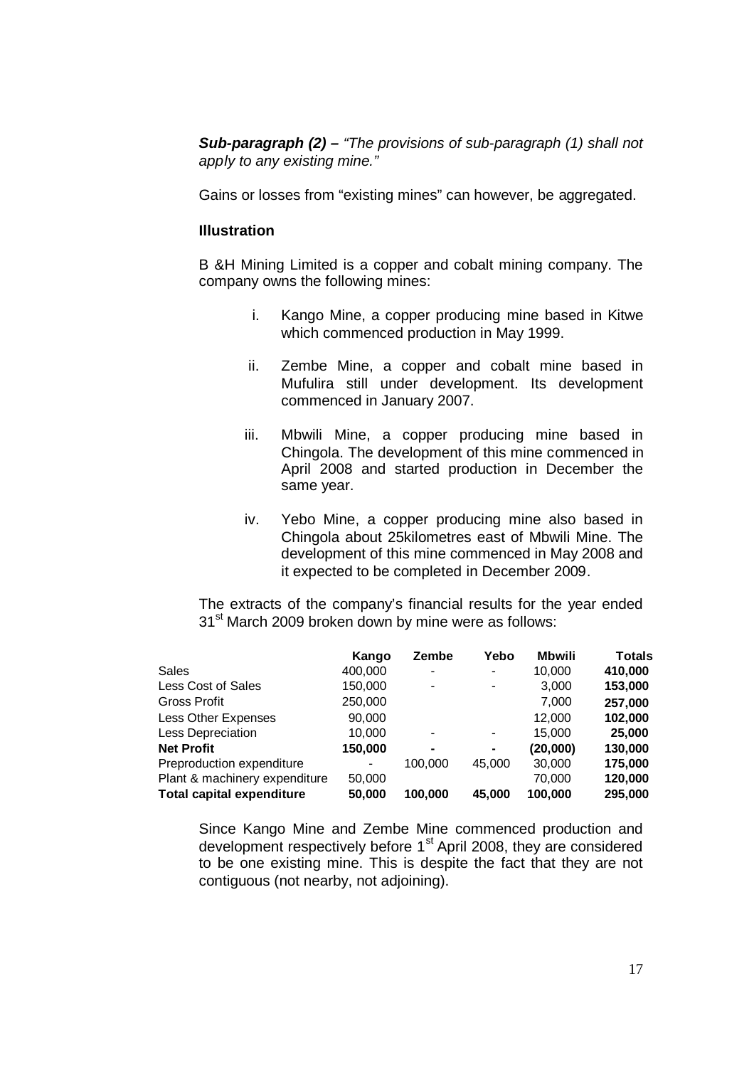*Sub-paragraph (2) – "The provisions of sub-paragraph (1) shall not apply to any existing mine."*

Gains or losses from "existing mines" can however, be aggregated.

#### **Illustration**

B &H Mining Limited is a copper and cobalt mining company. The company owns the following mines:

- i. Kango Mine, a copper producing mine based in Kitwe which commenced production in May 1999.
- ii. Zembe Mine, a copper and cobalt mine based in Mufulira still under development. Its development commenced in January 2007.
- iii. Mbwili Mine, a copper producing mine based in Chingola. The development of this mine commenced in April 2008 and started production in December the same year.
- iv. Yebo Mine, a copper producing mine also based in Chingola about 25kilometres east of Mbwili Mine. The development of this mine commenced in May 2008 and it expected to be completed in December 2009.

The extracts of the company's financial results for the year ended 31<sup>st</sup> March 2009 broken down by mine were as follows:

|                                  | Kango   | Zembe          | Yebo           | <b>Mbwili</b> | <b>Totals</b> |
|----------------------------------|---------|----------------|----------------|---------------|---------------|
| Sales                            | 400,000 | ٠              | $\blacksquare$ | 10.000        | 410,000       |
| Less Cost of Sales               | 150,000 | ٠              | $\blacksquare$ | 3,000         | 153,000       |
| Gross Profit                     | 250,000 |                |                | 7,000         | 257,000       |
| Less Other Expenses              | 90,000  |                |                | 12,000        | 102,000       |
| Less Depreciation                | 10.000  | ۰              | $\blacksquare$ | 15.000        | 25,000        |
| <b>Net Profit</b>                | 150,000 | $\blacksquare$ | $\blacksquare$ | (20,000)      | 130,000       |
| Preproduction expenditure        | ۰       | 100.000        | 45,000         | 30,000        | 175,000       |
| Plant & machinery expenditure    | 50,000  |                |                | 70.000        | 120,000       |
| <b>Total capital expenditure</b> | 50,000  | 100.000        | 45,000         | 100.000       | 295,000       |

Since Kango Mine and Zembe Mine commenced production and development respectively before 1<sup>st</sup> April 2008, they are considered to be one existing mine. This is despite the fact that they are not contiguous (not nearby, not adjoining).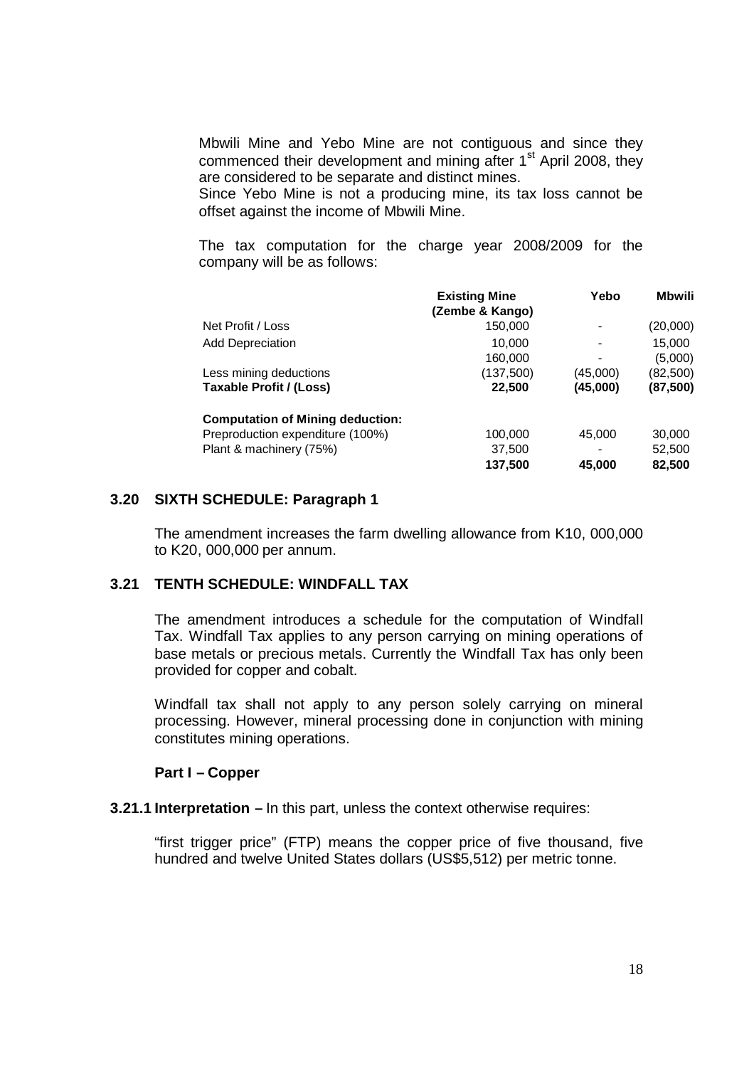Mbwili Mine and Yebo Mine are not contiguous and since they commenced their development and mining after  $1<sup>st</sup>$  April 2008, they are considered to be separate and distinct mines.

Since Yebo Mine is not a producing mine, its tax loss cannot be offset against the income of Mbwili Mine.

The tax computation for the charge year 2008/2009 for the company will be as follows:

|                                         | <b>Existing Mine</b><br>(Zembe & Kango) | Yebo                     | <b>Mbwili</b> |
|-----------------------------------------|-----------------------------------------|--------------------------|---------------|
| Net Profit / Loss                       | 150,000                                 |                          | (20,000)      |
| <b>Add Depreciation</b>                 | 10.000                                  | $\overline{\phantom{0}}$ | 15,000        |
|                                         | 160,000                                 | $\overline{\phantom{0}}$ | (5,000)       |
| Less mining deductions                  | (137,500)                               | (45,000)                 | (82, 500)     |
| <b>Taxable Profit / (Loss)</b>          | 22,500                                  | (45,000)                 | (87, 500)     |
| <b>Computation of Mining deduction:</b> |                                         |                          |               |
| Preproduction expenditure (100%)        | 100,000                                 | 45,000                   | 30,000        |
| Plant & machinery (75%)                 | 37,500                                  | $\overline{\phantom{0}}$ | 52,500        |
|                                         | 137,500                                 | 45,000                   | 82,500        |

#### **3.20 SIXTH SCHEDULE: Paragraph 1**

The amendment increases the farm dwelling allowance from K10, 000,000 to K20, 000,000 per annum.

### **3.21 TENTH SCHEDULE: WINDFALL TAX**

The amendment introduces a schedule for the computation of Windfall Tax. Windfall Tax applies to any person carrying on mining operations of base metals or precious metals. Currently the Windfall Tax has only been provided for copper and cobalt.

Windfall tax shall not apply to any person solely carrying on mineral processing. However, mineral processing done in conjunction with mining constitutes mining operations.

### **Part I – Copper**

#### **3.21.1 Interpretation –** In this part, unless the context otherwise requires:

"first trigger price" (FTP) means the copper price of five thousand, five hundred and twelve United States dollars (US\$5,512) per metric tonne.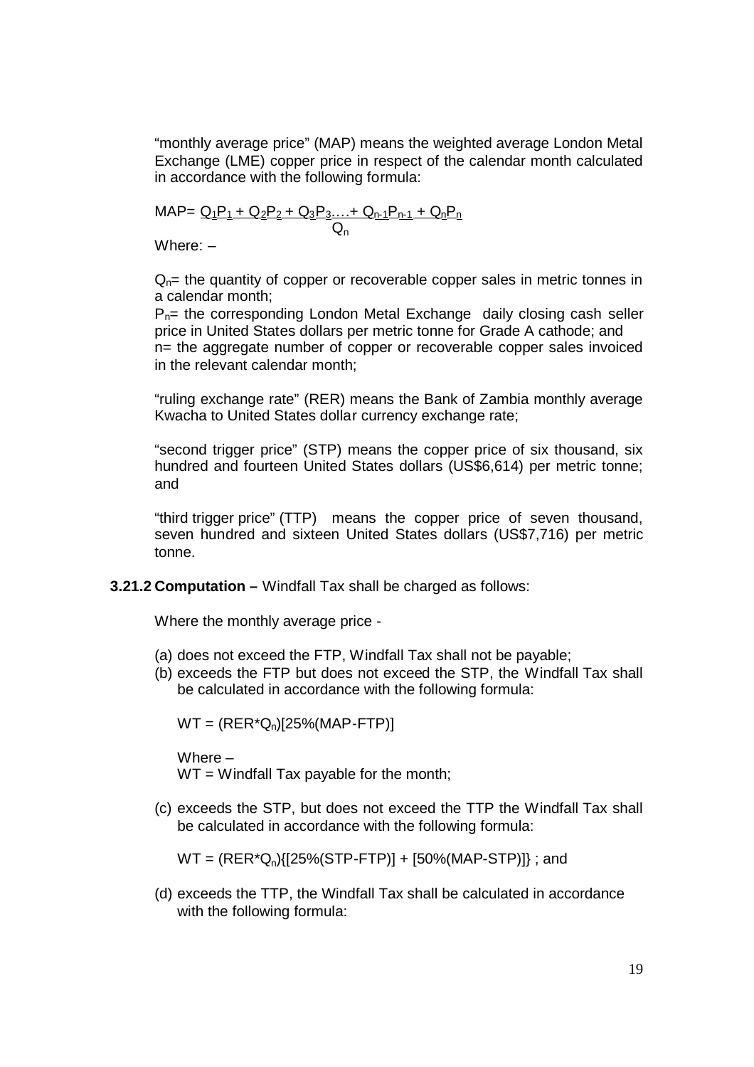"monthly average price" (MAP) means the weighted average London Metal Exchange (LME) copper price in respect of the calendar month calculated in accordance with the following formula:

<u>MAP= Q<sub>1</sub>P<sub>1</sub> + Q<sub>2</sub>P<sub>2</sub> + Q<sub>3</sub>P<sub>3</sub>….+ Q<sub>n-1</sub>P<sub>n-1</sub> + Q<sub>n</sub>P<sub>n</sub></u>  $Q_{n}$ 

Where: –

 $Q_{n}=$  the quantity of copper or recoverable copper sales in metric tonnes in a calendar month;

 $P_{n=}$  the corresponding London Metal Exchange daily closing cash seller price in United States dollars per metric tonne for Grade A cathode; and n= the aggregate number of copper or recoverable copper sales invoiced in the relevant calendar month;

"ruling exchange rate" (RER) means the Bank of Zambia monthly average Kwacha to United States dollar currency exchange rate;

"second trigger price" (STP) means the copper price of six thousand, six hundred and fourteen United States dollars (US\$6,614) per metric tonne; and

"third trigger price" (TTP) means the copper price of seven thousand, seven hundred and sixteen United States dollars (US\$7,716) per metric tonne.

**3.21.2 Computation –** Windfall Tax shall be charged as follows:

Where the monthly average price -

- (a) does not exceed the FTP, Windfall Tax shall not be payable;
- (b) exceeds the FTP but does not exceed the STP, the Windfall Tax shall be calculated in accordance with the following formula:

 $WT = (RER^*Q_n)[25\% (MAP-FTP)]$ 

Where – WT = Windfall Tax payable for the month;

(c) exceeds the STP, but does not exceed the TTP the Windfall Tax shall be calculated in accordance with the following formula:

 $WT = (RER^*Q_n)\{[25\% (STP-FTP)] + [50\% (MAP-STP)]\}$ ; and

(d) exceeds the TTP, the Windfall Tax shall be calculated in accordance with the following formula: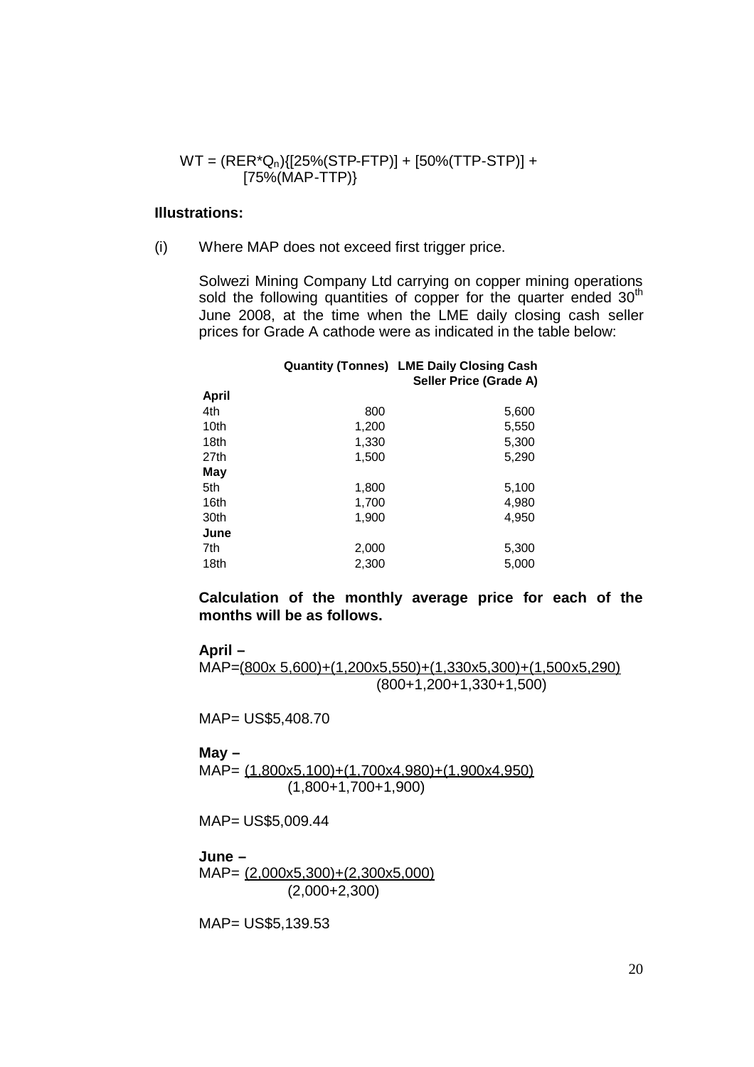$$
WT = (RER^*Q_n)\{ [25\% (STP-FTP)] + [50\% (TTP-STP)] + [75\% (MAP-TTP)\}
$$

#### **Illustrations:**

(i) Where MAP does not exceed first trigger price.

Solwezi Mining Company Ltd carrying on copper mining operations sold the following quantities of copper for the quarter ended  $30<sup>th</sup>$ June 2008, at the time when the LME daily closing cash seller prices for Grade A cathode were as indicated in the table below:

|       |       | <b>Quantity (Tonnes) LME Daily Closing Cash</b> |  |
|-------|-------|-------------------------------------------------|--|
|       |       | Seller Price (Grade A)                          |  |
| April |       |                                                 |  |
| 4th   | 800   | 5,600                                           |  |
| 10th  | 1,200 | 5,550                                           |  |
| 18th  | 1,330 | 5,300                                           |  |
| 27th  | 1,500 | 5,290                                           |  |
| May   |       |                                                 |  |
| 5th   | 1,800 | 5,100                                           |  |
| 16th  | 1,700 | 4,980                                           |  |
| 30th  | 1,900 | 4,950                                           |  |
| June  |       |                                                 |  |
| 7th   | 2,000 | 5,300                                           |  |
| 18th  | 2,300 | 5,000                                           |  |
|       |       |                                                 |  |

**Calculation of the monthly average price for each of the months will be as follows.**

**April –**

MAP=(800x 5,600)+(1,200x5,550)+(1,330x5,300)+(1,500x5,290) (800+1,200+1,330+1,500)

MAP= US\$5,408.70

#### **May –**

MAP= (1,800x5,100)+(1,700x4,980)+(1,900x4,950) (1,800+1,700+1,900)

MAP= US\$5,009.44

#### **June –**

MAP= (2,000x5,300)+(2,300x5,000) (2,000+2,300)

MAP= US\$5,139.53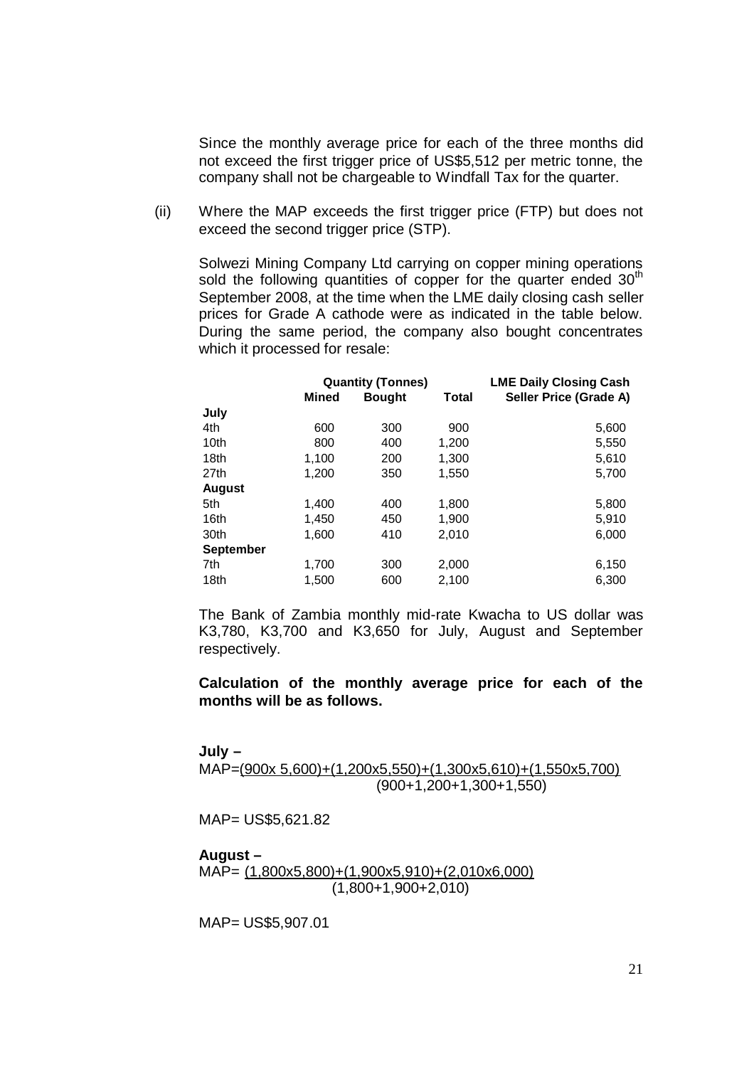Since the monthly average price for each of the three months did not exceed the first trigger price of US\$5,512 per metric tonne, the company shall not be chargeable to Windfall Tax for the quarter.

(ii) Where the MAP exceeds the first trigger price (FTP) but does not exceed the second trigger price (STP).

Solwezi Mining Company Ltd carrying on copper mining operations sold the following quantities of copper for the quarter ended  $30<sup>th</sup>$ September 2008, at the time when the LME daily closing cash seller prices for Grade A cathode were as indicated in the table below. During the same period, the company also bought concentrates which it processed for resale:

|                  |              | <b>Quantity (Tonnes)</b> |              | <b>LME Daily Closing Cash</b> |
|------------------|--------------|--------------------------|--------------|-------------------------------|
|                  | <b>Mined</b> | <b>Bought</b>            | <b>Total</b> | Seller Price (Grade A)        |
| July             |              |                          |              |                               |
| 4th              | 600          | 300                      | 900          | 5,600                         |
| 10th             | 800          | 400                      | 1,200        | 5,550                         |
| 18th             | 1,100        | 200                      | 1,300        | 5,610                         |
| 27th             | 1.200        | 350                      | 1,550        | 5,700                         |
| <b>August</b>    |              |                          |              |                               |
| 5th              | 1,400        | 400                      | 1,800        | 5,800                         |
| 16th             | 1,450        | 450                      | 1,900        | 5,910                         |
| 30th             | 1,600        | 410                      | 2,010        | 6,000                         |
| <b>September</b> |              |                          |              |                               |
| 7th              | 1,700        | 300                      | 2,000        | 6,150                         |
| 18th             | 1.500        | 600                      | 2,100        | 6,300                         |

The Bank of Zambia monthly mid-rate Kwacha to US dollar was K3,780, K3,700 and K3,650 for July, August and September respectively.

**Calculation of the monthly average price for each of the months will be as follows.**

#### **July –**

### MAP=(900x 5,600)+(1,200x5,550)+(1,300x5,610)+(1,550x5,700) (900+1,200+1,300+1,550)

MAP= US\$5,621.82

#### **August –**

MAP= (1,800x5,800)+(1,900x5,910)+(2,010x6,000) (1,800+1,900+2,010)

MAP= US\$5,907.01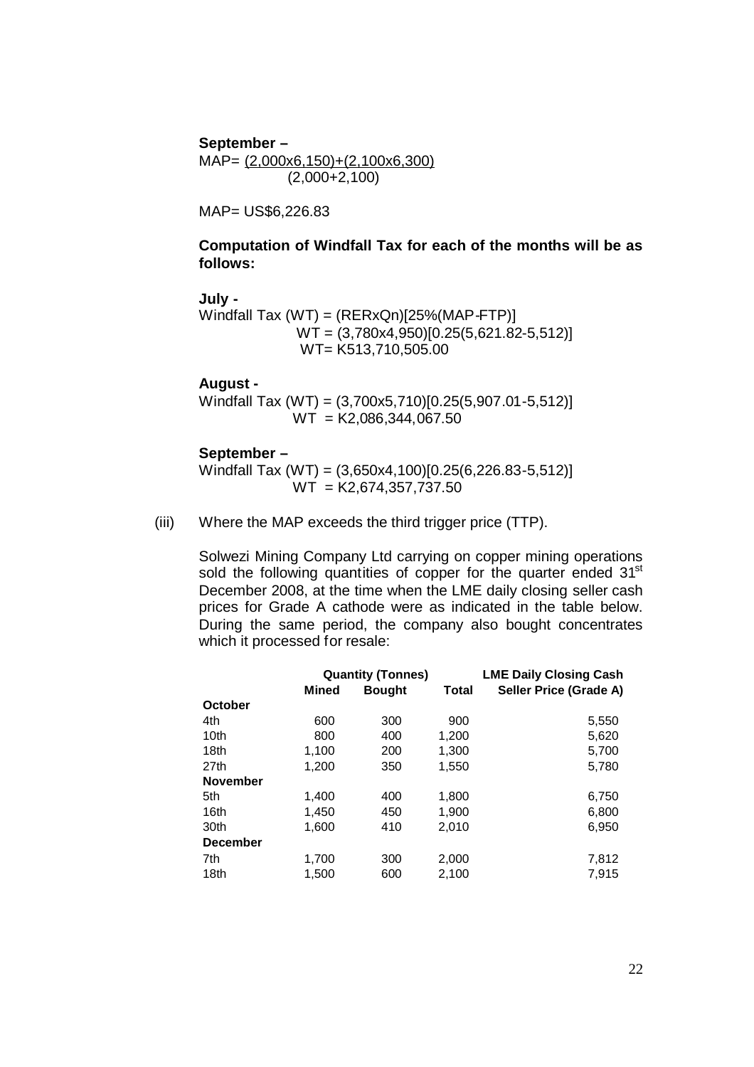**September –** MAP= (2,000x6,150)+(2,100x6,300) (2,000+2,100)

MAP= US\$6,226.83

### **Computation of Windfall Tax for each of the months will be as follows:**

### **July -**

Windfall Tax (WT) = (RERxQn)[25%(MAP-FTP)] WT = (3,780x4,950)[0.25(5,621.82-5,512)] WT= K513,710,505.00

### **August -**

Windfall Tax (WT) = (3,700x5,710)[0.25(5,907.01-5,512)]  $WT = K2,086,344,067.50$ 

#### **September –**

Windfall Tax (WT) = (3,650x4,100)[0.25(6,226.83-5,512)]  $WT = K2,674,357,737.50$ 

(iii) Where the MAP exceeds the third trigger price (TTP).

Solwezi Mining Company Ltd carrying on copper mining operations sold the following quantities of copper for the quarter ended 31<sup>st</sup> December 2008, at the time when the LME daily closing seller cash prices for Grade A cathode were as indicated in the table below. During the same period, the company also bought concentrates which it processed for resale:

|                 |       | <b>Quantity (Tonnes)</b> |       | <b>LME Daily Closing Cash</b> |
|-----------------|-------|--------------------------|-------|-------------------------------|
|                 | Mined | <b>Bought</b>            | Total | Seller Price (Grade A)        |
| October         |       |                          |       |                               |
| 4th             | 600   | 300                      | 900   | 5,550                         |
| 10th            | 800   | 400                      | 1,200 | 5,620                         |
| 18th            | 1,100 | 200                      | 1,300 | 5,700                         |
| 27th            | 1,200 | 350                      | 1,550 | 5,780                         |
| <b>November</b> |       |                          |       |                               |
| 5th             | 1.400 | 400                      | 1,800 | 6,750                         |
| 16th            | 1,450 | 450                      | 1,900 | 6,800                         |
| 30th            | 1,600 | 410                      | 2,010 | 6,950                         |
| <b>December</b> |       |                          |       |                               |
| 7th             | 1,700 | 300                      | 2,000 | 7,812                         |
| 18th            | 1,500 | 600                      | 2,100 | 7,915                         |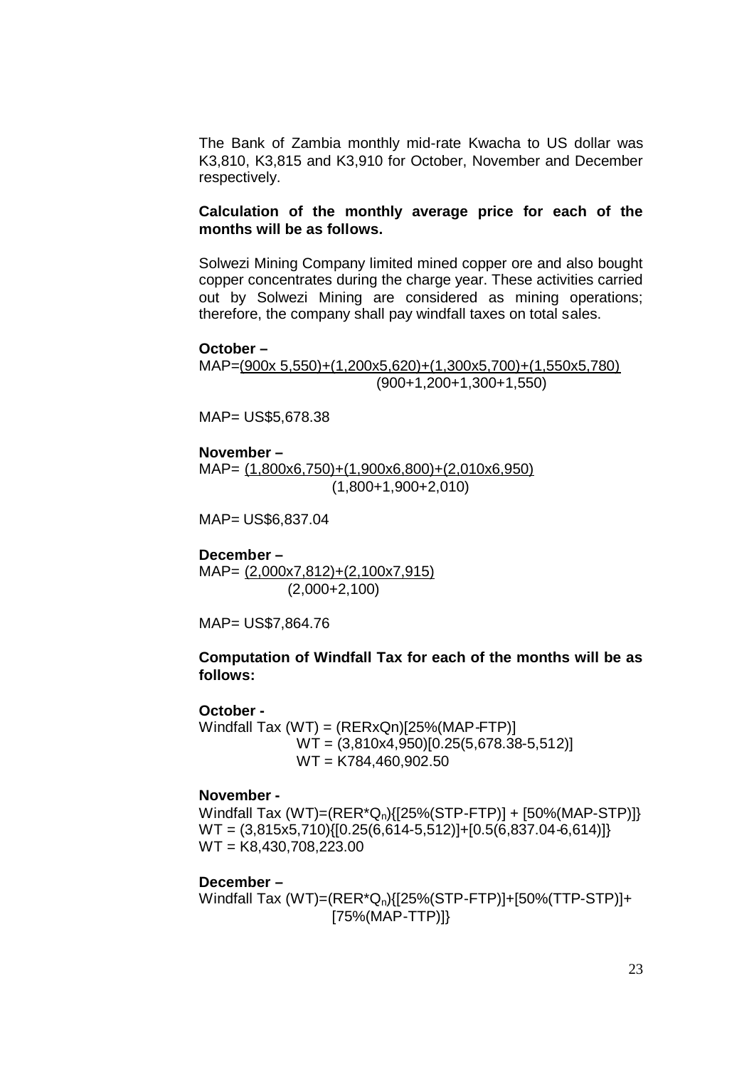The Bank of Zambia monthly mid-rate Kwacha to US dollar was K3,810, K3,815 and K3,910 for October, November and December respectively.

#### **Calculation of the monthly average price for each of the months will be as follows.**

Solwezi Mining Company limited mined copper ore and also bought copper concentrates during the charge year. These activities carried out by Solwezi Mining are considered as mining operations; therefore, the company shall pay windfall taxes on total sales.

#### **October –**

MAP=(900x 5,550)+(1,200x5,620)+(1,300x5,700)+(1,550x5,780) (900+1,200+1,300+1,550)

MAP= US\$5,678.38

**November –** MAP= (1,800x6,750)+(1,900x6,800)+(2,010x6,950) (1,800+1,900+2,010)

MAP= US\$6,837.04

**December –**

MAP= (2,000x7,812)+(2,100x7,915) (2,000+2,100)

MAP= US\$7,864.76

#### **Computation of Windfall Tax for each of the months will be as follows:**

#### **October -**

Windfall Tax  $(WT) = (RERxQn)[25% (MAP-FTP)]$ WT = (3,810x4,950)[0.25(5,678.38-5,512)] WT = K784,460,902.50

#### **November -**

Windfall Tax  $(WT)=(RER^*Q_n){[25\% (STP-FTP)] + [50\% (MAP-STP)]}$  $WT = \{3,815x5,710\}$  $[0.25(6,614-5,512)] + [0.5(6,837.04-6,614)]$ WT = K8,430,708,223.00

#### **December –**

Windfall Tax (WT)=(RER\*Qn){[25%(STP-FTP)]+[50%(TTP-STP)]+ [75%(MAP-TTP)]}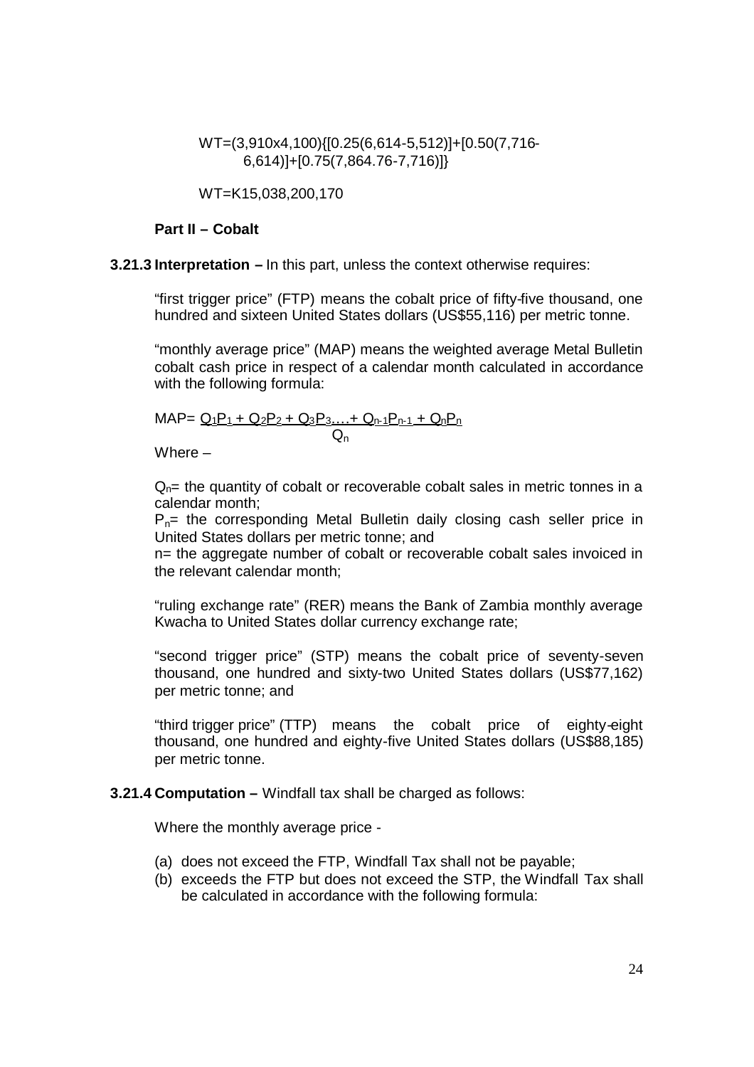WT=(3,910x4,100){[0.25(6,614-5,512)]+[0.50(7,716- 6,614)]+[0.75(7,864.76-7,716)]}

WT=K15,038,200,170

#### **Part II – Cobalt**

**3.21.3 Interpretation –** In this part, unless the context otherwise requires:

"first trigger price" (FTP) means the cobalt price of fifty-five thousand, one hundred and sixteen United States dollars (US\$55,116) per metric tonne.

"monthly average price" (MAP) means the weighted average Metal Bulletin cobalt cash price in respect of a calendar month calculated in accordance with the following formula:

$$
MAP = \frac{Q_1P_1 + Q_2P_2 + Q_3P_3... + Q_{n-1}P_{n-1} + Q_nP_n}{Q_n}
$$

Where –

 $Q<sub>n</sub>$ = the quantity of cobalt or recoverable cobalt sales in metric tonnes in a calendar month;

 $P_{n=}$  the corresponding Metal Bulletin daily closing cash seller price in United States dollars per metric tonne; and

n= the aggregate number of cobalt or recoverable cobalt sales invoiced in the relevant calendar month;

"ruling exchange rate" (RER) means the Bank of Zambia monthly average Kwacha to United States dollar currency exchange rate;

"second trigger price" (STP) means the cobalt price of seventy-seven thousand, one hundred and sixty-two United States dollars (US\$77,162) per metric tonne; and

"third trigger price" (TTP) means the cobalt price of eighty-eight thousand, one hundred and eighty-five United States dollars (US\$88,185) per metric tonne.

#### **3.21.4 Computation –** Windfall tax shall be charged as follows:

Where the monthly average price -

- (a) does not exceed the FTP, Windfall Tax shall not be payable;
- (b) exceeds the FTP but does not exceed the STP, the Windfall Tax shall be calculated in accordance with the following formula: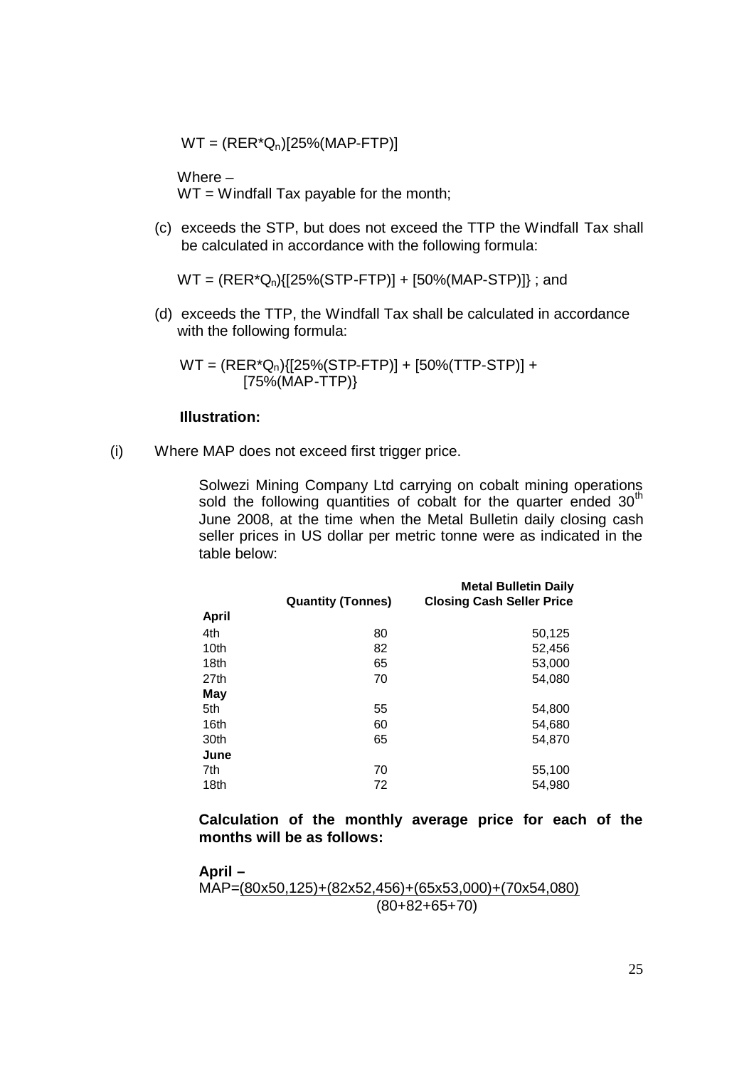$WT = (RER^*Q_n)[25\%(MAP-FTP)]$ 

Where –  $WT = Windfall Tax payable for the month;$ 

(c) exceeds the STP, but does not exceed the TTP the Windfall Tax shall be calculated in accordance with the following formula:

 $WT = (RER^*Q_n)\{[25\% (STP-FTP)] + [50\% (MAP-STP)]\}$ ; and

(d) exceeds the TTP, the Windfall Tax shall be calculated in accordance with the following formula:

WT = (RER\*Qn){[25%(STP-FTP)] + [50%(TTP-STP)] + [75%(MAP-TTP)}

#### **Illustration:**

(i) Where MAP does not exceed first trigger price.

Solwezi Mining Company Ltd carrying on cobalt mining operations sold the following quantities of cobalt for the quarter ended  $30<sup>th</sup>$ June 2008, at the time when the Metal Bulletin daily closing cash seller prices in US dollar per metric tonne were as indicated in the table below:

|              |                          | <b>Metal Bulletin Daily</b>      |
|--------------|--------------------------|----------------------------------|
|              | <b>Quantity (Tonnes)</b> | <b>Closing Cash Seller Price</b> |
| <b>April</b> |                          |                                  |
| 4th          | 80                       | 50,125                           |
| 10th         | 82                       | 52,456                           |
| 18th         | 65                       | 53,000                           |
| 27th         | 70                       | 54,080                           |
| May          |                          |                                  |
| 5th          | 55                       | 54,800                           |
| 16th         | 60                       | 54,680                           |
| 30th         | 65                       | 54,870                           |
| June         |                          |                                  |
| 7th          | 70                       | 55,100                           |
| 18th         | 72                       | 54,980                           |

**Calculation of the monthly average price for each of the months will be as follows:**

**April –** MAP=(80x50,125)+(82x52,456)+(65x53,000)+(70x54,080) (80+82+65+70)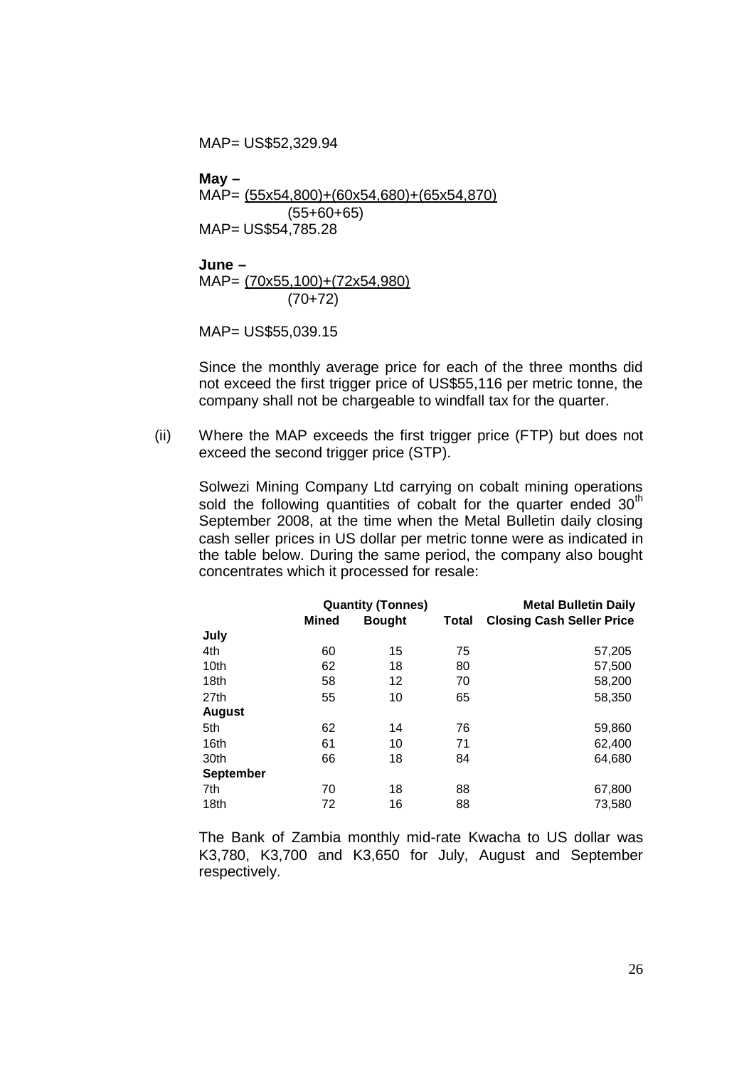MAP= US\$52,329.94

**May –** MAP= (55x54,800)+(60x54,680)+(65x54,870) (55+60+65) MAP= US\$54,785.28

**June –** MAP= (70x55,100)+(72x54,980) (70+72)

MAP= US\$55,039.15

Since the monthly average price for each of the three months did not exceed the first trigger price of US\$55,116 per metric tonne, the company shall not be chargeable to windfall tax for the quarter.

(ii) Where the MAP exceeds the first trigger price (FTP) but does not exceed the second trigger price (STP).

Solwezi Mining Company Ltd carrying on cobalt mining operations sold the following quantities of cobalt for the quarter ended  $30<sup>th</sup>$ September 2008, at the time when the Metal Bulletin daily closing cash seller prices in US dollar per metric tonne were as indicated in the table below. During the same period, the company also bought concentrates which it processed for resale:

|                  |              | <b>Quantity (Tonnes)</b> |       | <b>Metal Bulletin Daily</b>      |
|------------------|--------------|--------------------------|-------|----------------------------------|
|                  | <b>Mined</b> | <b>Bought</b>            | Total | <b>Closing Cash Seller Price</b> |
| July             |              |                          |       |                                  |
| 4th              | 60           | 15                       | 75    | 57,205                           |
| 10th             | 62           | 18                       | 80    | 57,500                           |
| 18th             | 58           | 12                       | 70    | 58,200                           |
| 27th             | 55           | 10                       | 65    | 58,350                           |
| <b>August</b>    |              |                          |       |                                  |
| 5th              | 62           | 14                       | 76    | 59,860                           |
| 16th             | 61           | 10                       | 71    | 62,400                           |
| 30th             | 66           | 18                       | 84    | 64,680                           |
| <b>September</b> |              |                          |       |                                  |
| 7th              | 70           | 18                       | 88    | 67,800                           |
| 18th             | 72           | 16                       | 88    | 73,580                           |

The Bank of Zambia monthly mid-rate Kwacha to US dollar was K3,780, K3,700 and K3,650 for July, August and September respectively.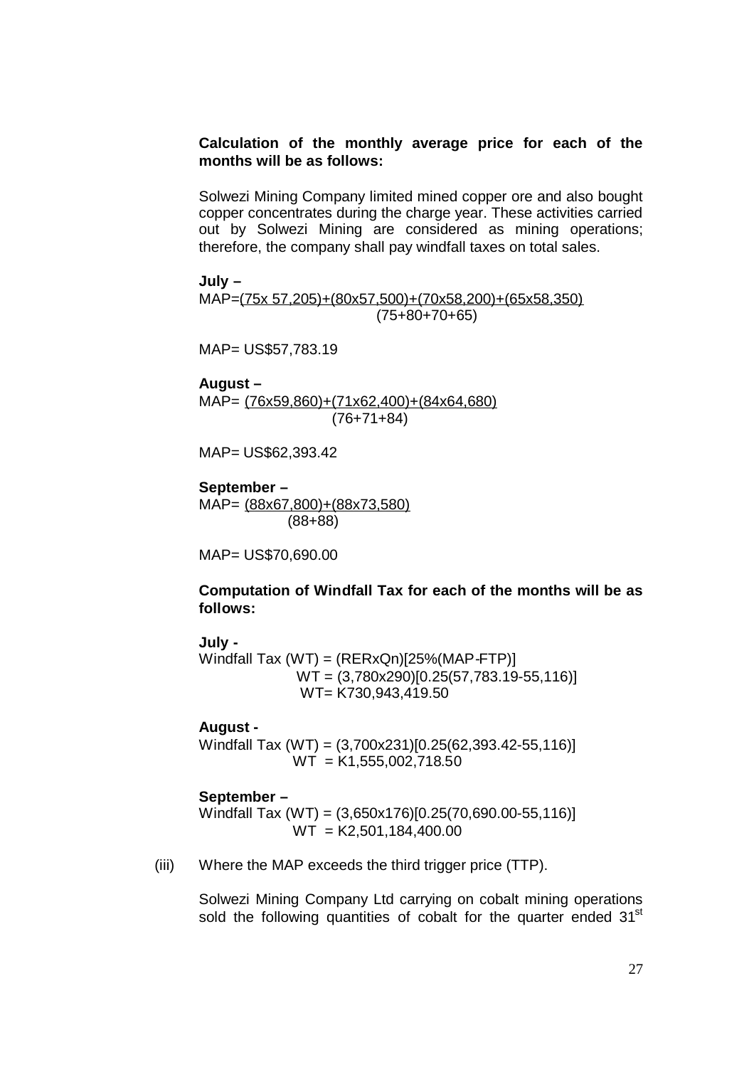### **Calculation of the monthly average price for each of the months will be as follows:**

Solwezi Mining Company limited mined copper ore and also bought copper concentrates during the charge year. These activities carried out by Solwezi Mining are considered as mining operations; therefore, the company shall pay windfall taxes on total sales.

**July –**

MAP=(75x 57,205)+(80x57,500)+(70x58,200)+(65x58,350) (75+80+70+65)

MAP= US\$57,783.19

**August –** MAP= (76x59,860)+(71x62,400)+(84x64,680) (76+71+84)

MAP= US\$62,393.42

**September –** MAP= (88x67,800)+(88x73,580)

(88+88)

MAP= US\$70,690.00

**Computation of Windfall Tax for each of the months will be as follows:**

#### **July -**

Windfall Tax (WT) = (RERxQn)[25%(MAP-FTP)] WT = (3,780x290)[0.25(57,783.19-55,116)] WT= K730,943,419.50

#### **August -**

Windfall Tax (WT) = (3,700x231)[0.25(62,393.42-55,116)]  $WT = K1,555,002,718.50$ 

### **September –**

Windfall Tax (WT) = (3,650x176)[0.25(70,690.00-55,116)]  $WT = K2.501.184.400.00$ 

(iii) Where the MAP exceeds the third trigger price (TTP).

Solwezi Mining Company Ltd carrying on cobalt mining operations sold the following quantities of cobalt for the quarter ended 31<sup>st</sup>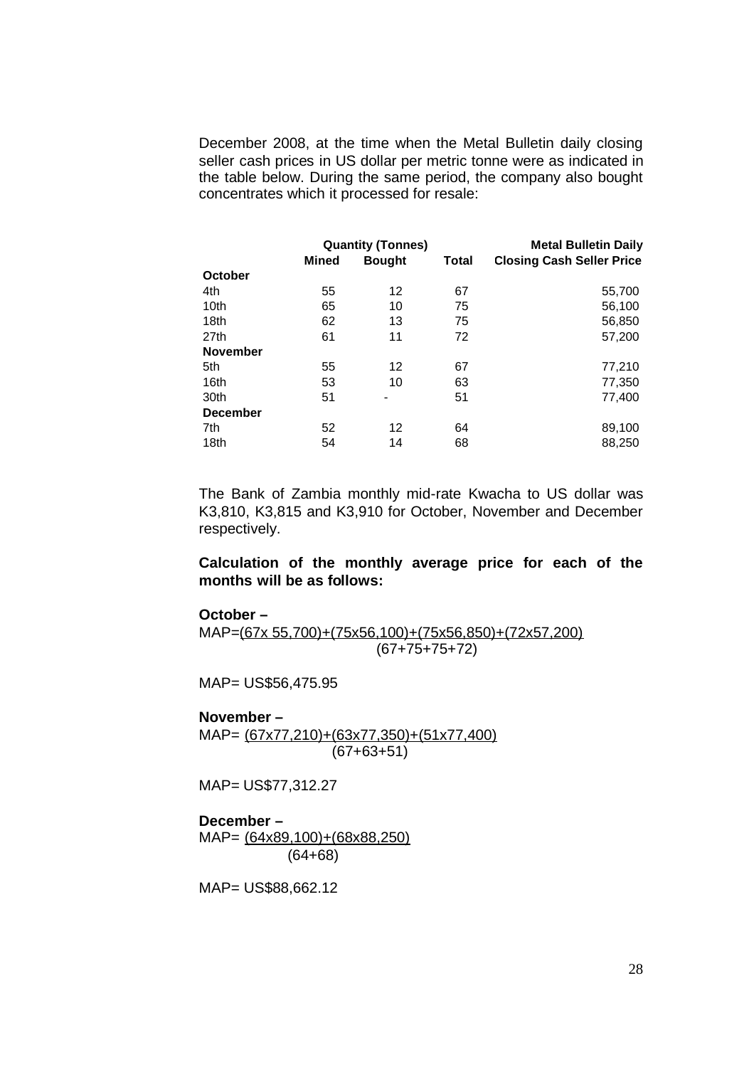December 2008, at the time when the Metal Bulletin daily closing seller cash prices in US dollar per metric tonne were as indicated in the table below. During the same period, the company also bought concentrates which it processed for resale:

|                  |              | <b>Quantity (Tonnes)</b> | <b>Metal Bulletin Daily</b> |                                  |
|------------------|--------------|--------------------------|-----------------------------|----------------------------------|
|                  | <b>Mined</b> | <b>Bought</b>            | Total                       | <b>Closing Cash Seller Price</b> |
| October          |              |                          |                             |                                  |
| 4th              | 55           | 12                       | 67                          | 55,700                           |
| 10 <sub>th</sub> | 65           | 10                       | 75                          | 56,100                           |
| 18th             | 62           | 13                       | 75                          | 56,850                           |
| 27th             | 61           | 11                       | 72                          | 57,200                           |
| <b>November</b>  |              |                          |                             |                                  |
| 5th              | 55           | 12                       | 67                          | 77,210                           |
| 16th             | 53           | 10                       | 63                          | 77,350                           |
| 30th             | 51           |                          | 51                          | 77,400                           |
| <b>December</b>  |              |                          |                             |                                  |
| 7th              | 52           | 12                       | 64                          | 89,100                           |
| 18th             | 54           | 14                       | 68                          | 88,250                           |

The Bank of Zambia monthly mid-rate Kwacha to US dollar was K3,810, K3,815 and K3,910 for October, November and December respectively.

**Calculation of the monthly average price for each of the months will be as follows:**

#### **October –**

MAP=(67x 55,700)+(75x56,100)+(75x56,850)+(72x57,200) (67+75+75+72)

MAP= US\$56,475.95

#### **November –**

MAP= (67x77,210)+(63x77,350)+(51x77,400) (67+63+51)

MAP= US\$77,312.27

**December –** MAP= (64x89,100)+(68x88,250) (64+68)

MAP= US\$88,662.12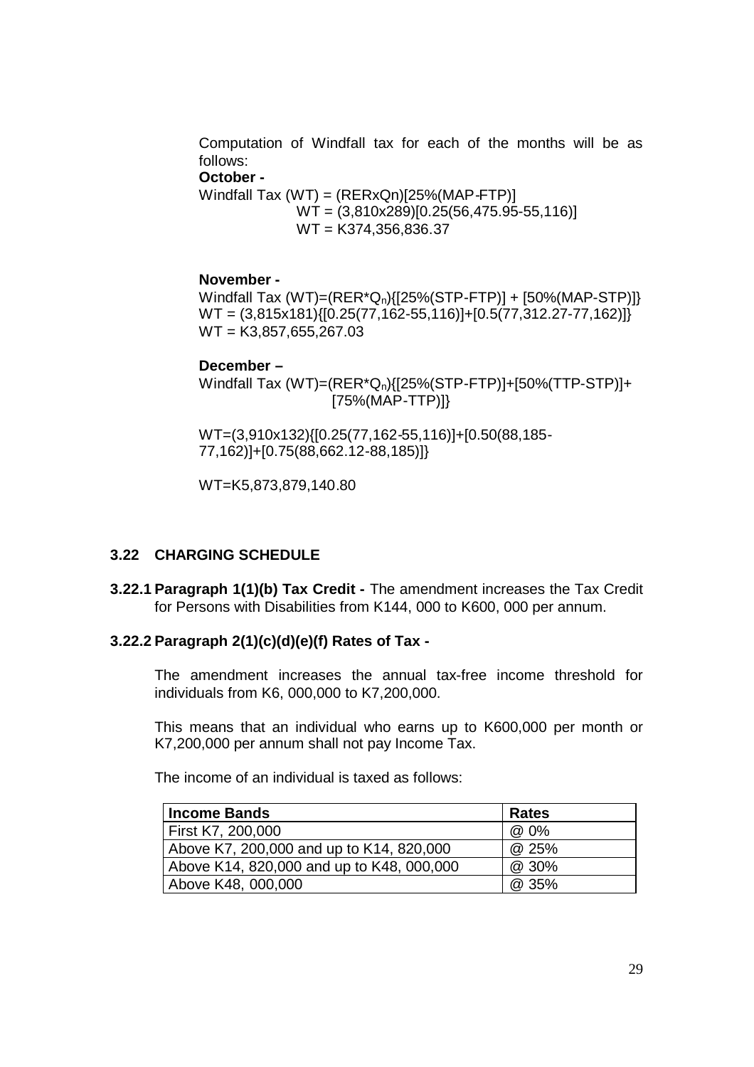Computation of Windfall tax for each of the months will be as follows:

#### **October -**

Windfall Tax  $(WT) = (RERxQn)[25% (MAP-FTP)]$ WT = (3,810x289)[0.25(56,475.95-55,116)] WT = K374,356,836.37

### **November -**

Windfall Tax (WT)=(RER\*Qn){[25%(STP-FTP)] + [50%(MAP-STP)]}  $WT = (3,815x181)\{[0.25(77,162-55,116)]+[0.5(77,312.27-77,162)]\}$ WT = K3,857,655,267.03

#### **December –**

Windfall Tax (WT)=(RER\*Qn){[25%(STP-FTP)]+[50%(TTP-STP)]+ [75%(MAP-TTP)]}

WT=(3,910x132){[0.25(77,162-55,116)]+[0.50(88,185- 77,162)]+[0.75(88,662.12-88,185)]}

WT=K5,873,879,140.80

### **3.22 CHARGING SCHEDULE**

**3.22.1 Paragraph 1(1)(b) Tax Credit -** The amendment increases the Tax Credit for Persons with Disabilities from K144, 000 to K600, 000 per annum.

### **3.22.2 Paragraph 2(1)(c)(d)(e)(f) Rates of Tax -**

The amendment increases the annual tax-free income threshold for individuals from K6, 000,000 to K7,200,000.

This means that an individual who earns up to K600,000 per month or K7,200,000 per annum shall not pay Income Tax.

The income of an individual is taxed as follows:

| <b>Income Bands</b>                       | Rates |
|-------------------------------------------|-------|
| First K7, 200,000                         | @ 0%  |
| Above K7, 200,000 and up to K14, 820,000  | @ 25% |
| Above K14, 820,000 and up to K48, 000,000 | @ 30% |
| Above K48, 000,000                        | @ 35% |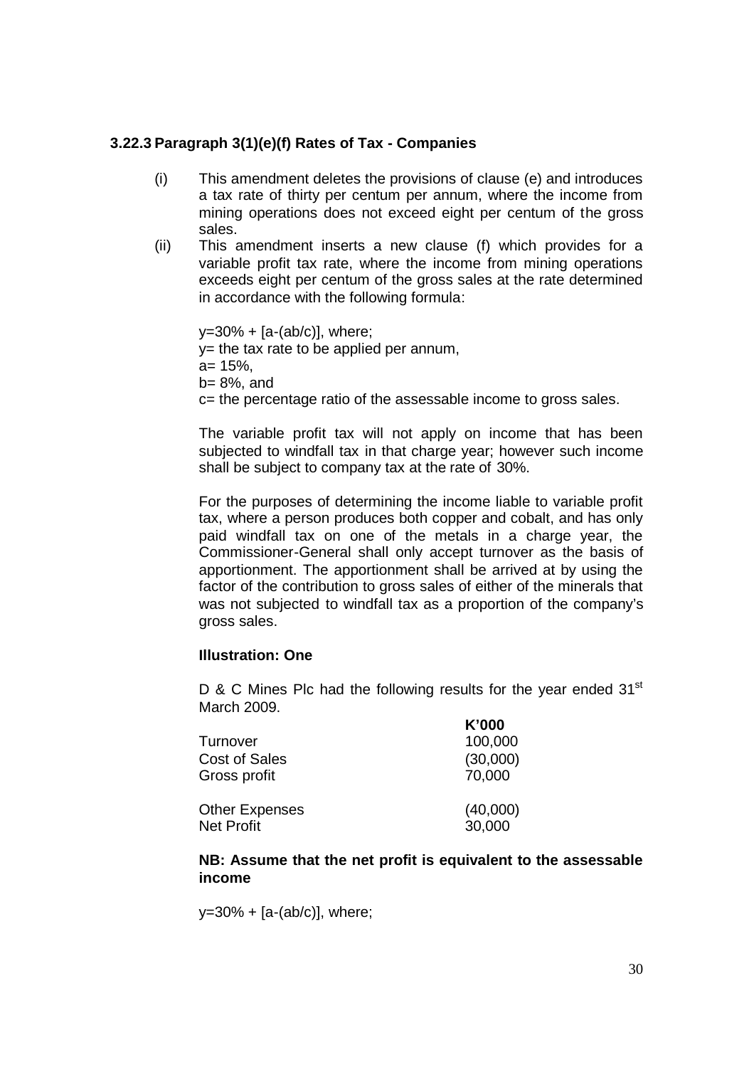# **3.22.3 Paragraph 3(1)(e)(f) Rates of Tax - Companies**

- (i) This amendment deletes the provisions of clause (e) and introduces a tax rate of thirty per centum per annum, where the income from mining operations does not exceed eight per centum of the gross sales.
- (ii) This amendment inserts a new clause (f) which provides for a variable profit tax rate, where the income from mining operations exceeds eight per centum of the gross sales at the rate determined in accordance with the following formula:

 $y=30\% + [a-(ab/c)]$ , where;  $y=$  the tax rate to be applied per annum,  $a = 15%$ . b= 8%, and c= the percentage ratio of the assessable income to gross sales.

The variable profit tax will not apply on income that has been subjected to windfall tax in that charge year; however such income shall be subject to company tax at the rate of 30%.

For the purposes of determining the income liable to variable profit tax, where a person produces both copper and cobalt, and has only paid windfall tax on one of the metals in a charge year, the Commissioner-General shall only accept turnover as the basis of apportionment. The apportionment shall be arrived at by using the factor of the contribution to gross sales of either of the minerals that was not subjected to windfall tax as a proportion of the company's gross sales.

### **Illustration: One**

D & C Mines Plc had the following results for the year ended  $31<sup>st</sup>$ March 2009.

 $x^0 - 2x^0 - 2x^0$ 

|                       | K UUU    |
|-----------------------|----------|
| Turnover              | 100,000  |
| <b>Cost of Sales</b>  | (30,000) |
| Gross profit          | 70,000   |
| <b>Other Expenses</b> | (40,000) |
| <b>Net Profit</b>     | 30,000   |

### **NB: Assume that the net profit is equivalent to the assessable income**

 $y=30\% + [a-(ab/c)]$ , where;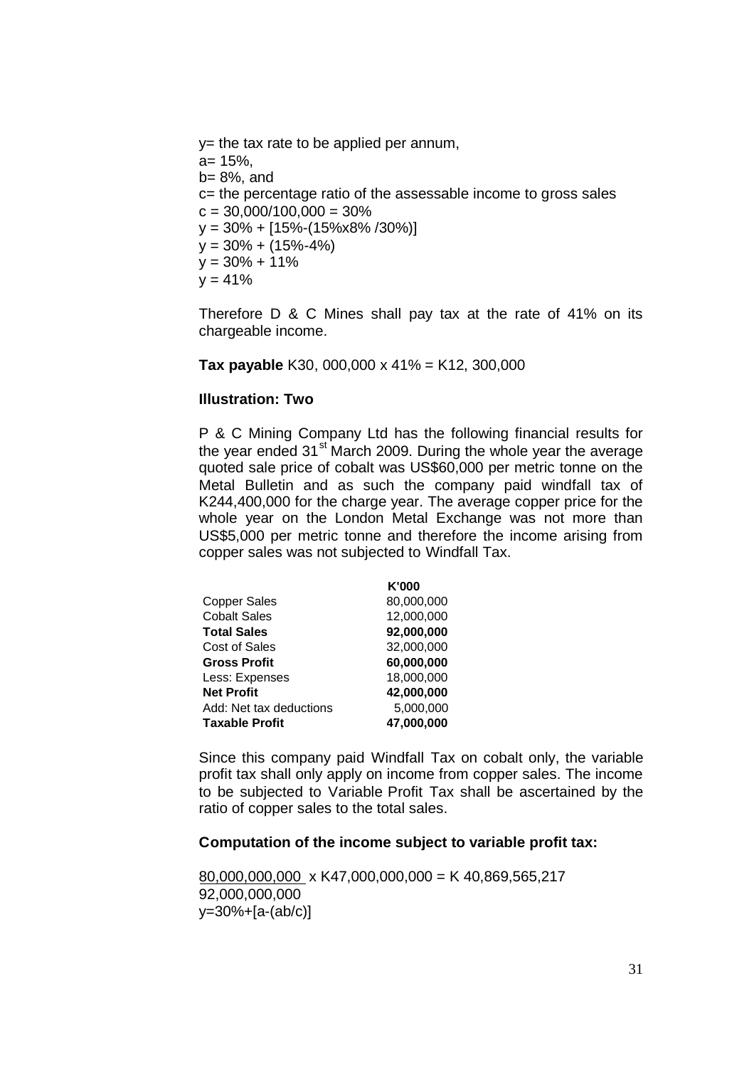y= the tax rate to be applied per annum,

a= 15%, b= 8%, and c= the percentage ratio of the assessable income to gross sales  $c = 30,000/100,000 = 30%$  $y = 30\% + [15\%-(15\% \times 8\% /30\%)]$  $y = 30\% + (15\% - 4\%)$  $y = 30\% + 11\%$  $y = 41%$ 

Therefore D & C Mines shall pay tax at the rate of 41% on its chargeable income.

**Tax payable** K30, 000,000 x 41% = K12, 300,000

### **Illustration: Two**

P & C Mining Company Ltd has the following financial results for the year ended 31<sup>st</sup> March 2009. During the whole year the average quoted sale price of cobalt was US\$60,000 per metric tonne on the Metal Bulletin and as such the company paid windfall tax of K244,400,000 for the charge year. The average copper price for the whole year on the London Metal Exchange was not more than US\$5,000 per metric tonne and therefore the income arising from copper sales was not subjected to Windfall Tax.

|                         | K'000      |
|-------------------------|------------|
| <b>Copper Sales</b>     | 80.000.000 |
| <b>Cobalt Sales</b>     | 12,000,000 |
| <b>Total Sales</b>      | 92,000,000 |
| Cost of Sales           | 32,000,000 |
| <b>Gross Profit</b>     | 60,000,000 |
| Less: Expenses          | 18,000,000 |
| <b>Net Profit</b>       | 42,000,000 |
| Add: Net tax deductions | 5,000,000  |
| <b>Taxable Profit</b>   | 47,000,000 |

Since this company paid Windfall Tax on cobalt only, the variable profit tax shall only apply on income from copper sales. The income to be subjected to Variable Profit Tax shall be ascertained by the ratio of copper sales to the total sales.

#### **Computation of the income subject to variable profit tax:**

 $80,000,000,000 \times K47,000,000,000 = K 40,869,565,217$ 92,000,000,000 y=30%+[a-(ab/c)]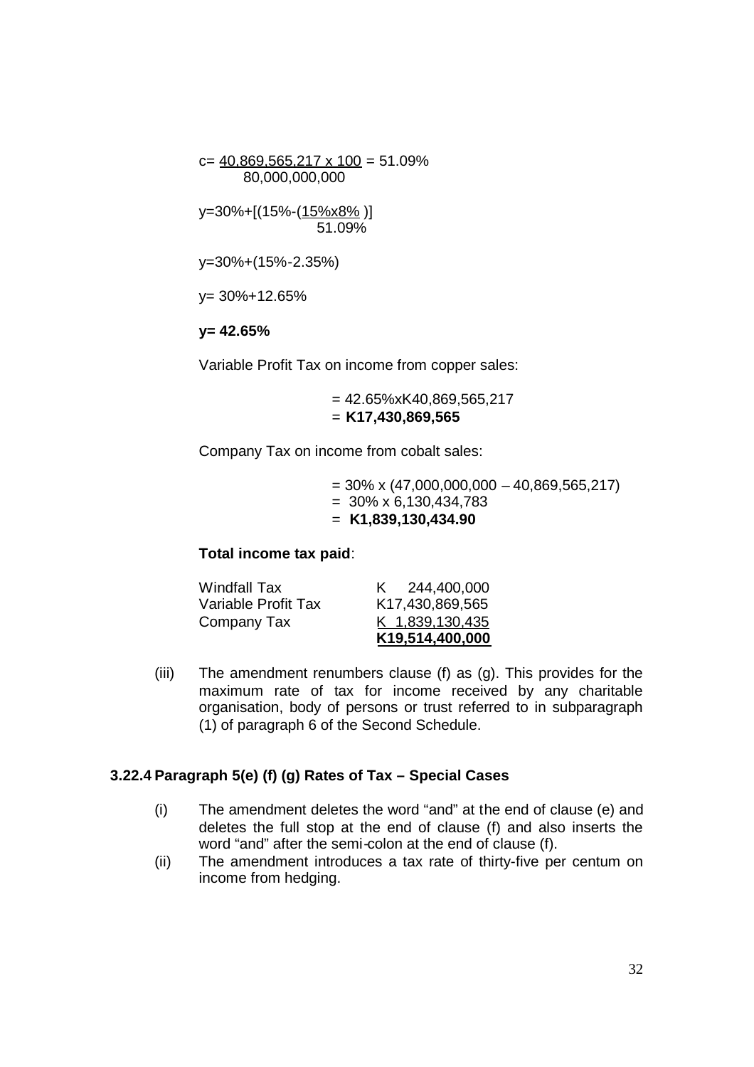c=  $40,869,565,217 \times 100 = 51.09\%$ 80,000,000,000

y=30%+[(15%-(15%x8% )] 51.09%

y=30%+(15%-2.35%)

y= 30%+12.65%

### **y= 42.65%**

Variable Profit Tax on income from copper sales:

 $= 42.65\%$ xK40.869.565.217 = **K17,430,869,565**

Company Tax on income from cobalt sales:

 $= 30\% \times (47,000,000,000 - 40,869,565,217)$  $= 30\% \times 6,130,434,783$ = **K1,839,130,434.90**

**Total income tax paid**:

| <b>Windfall Tax</b> | K 244,400,000   |
|---------------------|-----------------|
| Variable Profit Tax | K17,430,869,565 |
| Company Tax         | K 1,839,130,435 |
|                     | K19,514,400,000 |

(iii) The amendment renumbers clause (f) as (g). This provides for the maximum rate of tax for income received by any charitable organisation, body of persons or trust referred to in subparagraph (1) of paragraph 6 of the Second Schedule.

### **3.22.4 Paragraph 5(e) (f) (g) Rates of Tax – Special Cases**

- (i) The amendment deletes the word "and" at the end of clause (e) and deletes the full stop at the end of clause (f) and also inserts the word "and" after the semi-colon at the end of clause (f).
- (ii) The amendment introduces a tax rate of thirty-five per centum on income from hedging.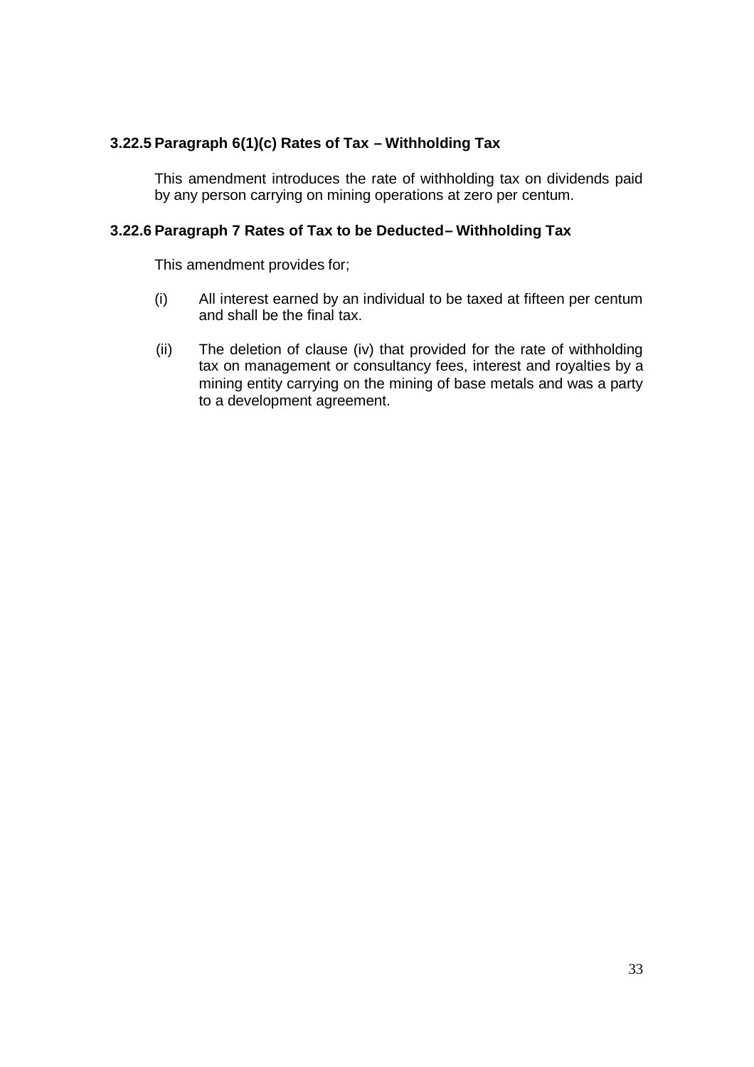# **3.22.5 Paragraph 6(1)(c) Rates of Tax – Withholding Tax**

This amendment introduces the rate of withholding tax on dividends paid by any person carrying on mining operations at zero per centum.

### **3.22.6 Paragraph 7 Rates of Tax to be Deducted– Withholding Tax**

This amendment provides for;

- (i) All interest earned by an individual to be taxed at fifteen per centum and shall be the final tax.
- (ii) The deletion of clause (iv) that provided for the rate of withholding tax on management or consultancy fees, interest and royalties by a mining entity carrying on the mining of base metals and was a party to a development agreement.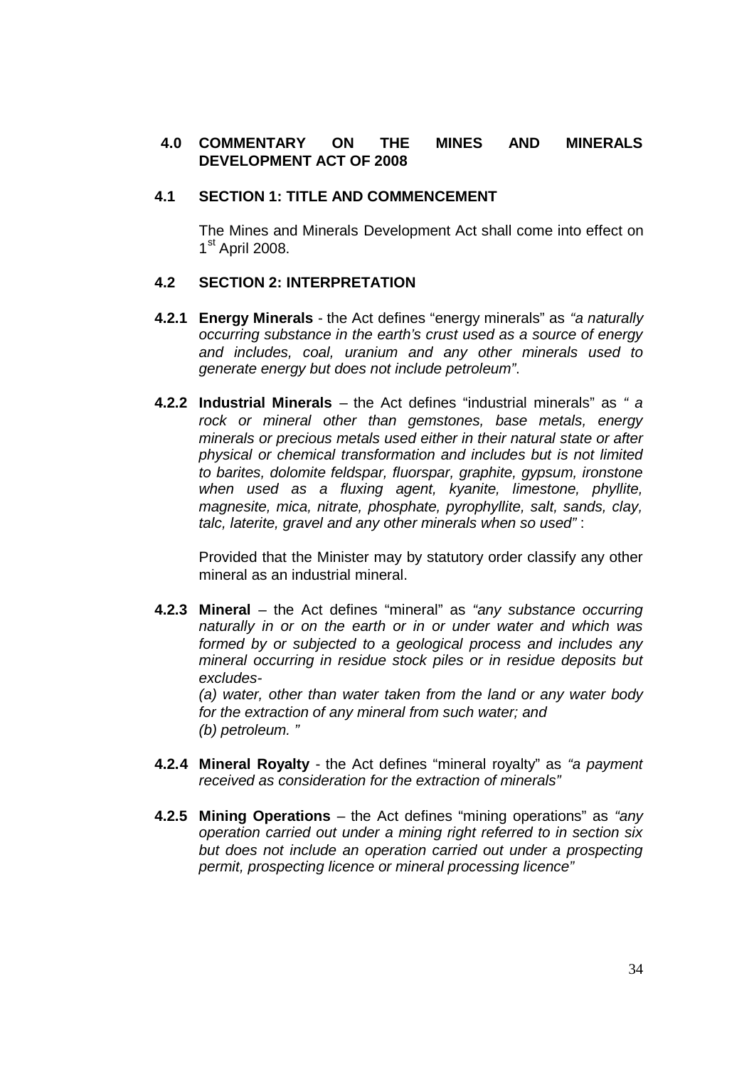# **4.0 COMMENTARY ON THE MINES AND MINERALS DEVELOPMENT ACT OF 2008**

### **4.1 SECTION 1: TITLE AND COMMENCEMENT**

The Mines and Minerals Development Act shall come into effect on 1<sup>st</sup> April 2008.

### **4.2 SECTION 2: INTERPRETATION**

- **4.2.1 Energy Minerals** the Act defines "energy minerals" as *"a naturally occurring substance in the earth's crust used as a source of energy and includes, coal, uranium and any other minerals used to generate energy but does not include petroleum"*.
- **4.2.2 Industrial Minerals** the Act defines "industrial minerals" as *" a rock or mineral other than gemstones, base metals, energy minerals or precious metals used either in their natural state or after physical or chemical transformation and includes but is not limited to barites, dolomite feldspar, fluorspar, graphite, gypsum, ironstone when used as a fluxing agent, kyanite, limestone, phyllite, magnesite, mica, nitrate, phosphate, pyrophyllite, salt, sands, clay, talc, laterite, gravel and any other minerals when so used"* :

Provided that the Minister may by statutory order classify any other mineral as an industrial mineral.

**4.2.3 Mineral** – the Act defines "mineral" as *"any substance occurring naturally in or on the earth or in or under water and which was formed by or subjected to a geological process and includes any mineral occurring in residue stock piles or in residue deposits but excludes-*

*(a) water, other than water taken from the land or any water body for the extraction of any mineral from such water; and (b) petroleum. "*

- **4.2.4 Mineral Royalty** the Act defines "mineral royalty" as *"a payment received as consideration for the extraction of minerals"*
- **4.2.5 Mining Operations** the Act defines "mining operations" as *"any operation carried out under a mining right referred to in section six but does not include an operation carried out under a prospecting permit, prospecting licence or mineral processing licence"*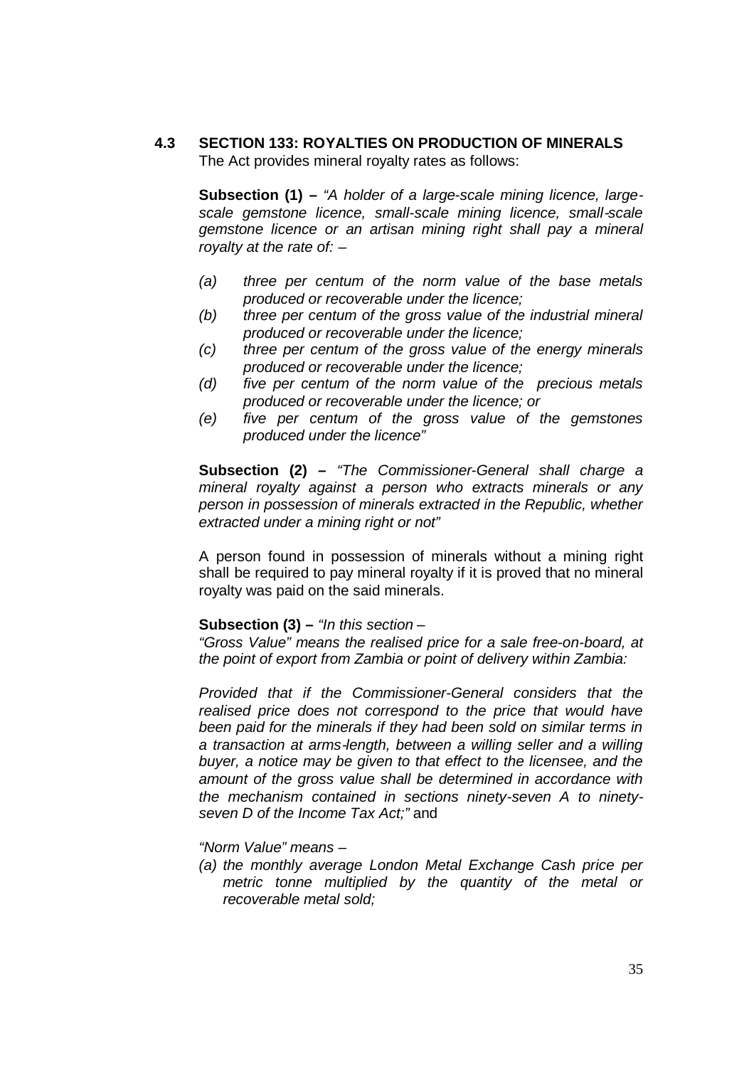# **4.3 SECTION 133: ROYALTIES ON PRODUCTION OF MINERALS** The Act provides mineral royalty rates as follows:

**Subsection (1) –** *"A holder of a large-scale mining licence, largescale gemstone licence, small-scale mining licence, small-scale gemstone licence or an artisan mining right shall pay a mineral royalty at the rate of: –*

- *(a) three per centum of the norm value of the base metals produced or recoverable under the licence;*
- *(b) three per centum of the gross value of the industrial mineral produced or recoverable under the licence;*
- *(c) three per centum of the gross value of the energy minerals produced or recoverable under the licence;*
- *(d) five per centum of the norm value of the precious metals produced or recoverable under the licence; or*
- *(e) five per centum of the gross value of the gemstones produced under the licence"*

**Subsection (2) –** *"The Commissioner-General shall charge a mineral royalty against a person who extracts minerals or any person in possession of minerals extracted in the Republic, whether extracted under a mining right or not"*

A person found in possession of minerals without a mining right shall be required to pay mineral royalty if it is proved that no mineral royalty was paid on the said minerals.

### **Subsection (3) –** *"In this section –*

*"Gross Value" means the realised price for a sale free-on-board, at the point of export from Zambia or point of delivery within Zambia:*

*Provided that if the Commissioner-General considers that the realised price does not correspond to the price that would have been paid for the minerals if they had been sold on similar terms in a transaction at arms-length, between a willing seller and a willing buyer, a notice may be given to that effect to the licensee, and the amount of the gross value shall be determined in accordance with the mechanism contained in sections ninety-seven A to ninetyseven D of the Income Tax Act;"* and

*"Norm Value" means –*

*(a) the monthly average London Metal Exchange Cash price per metric tonne multiplied by the quantity of the metal or recoverable metal sold;*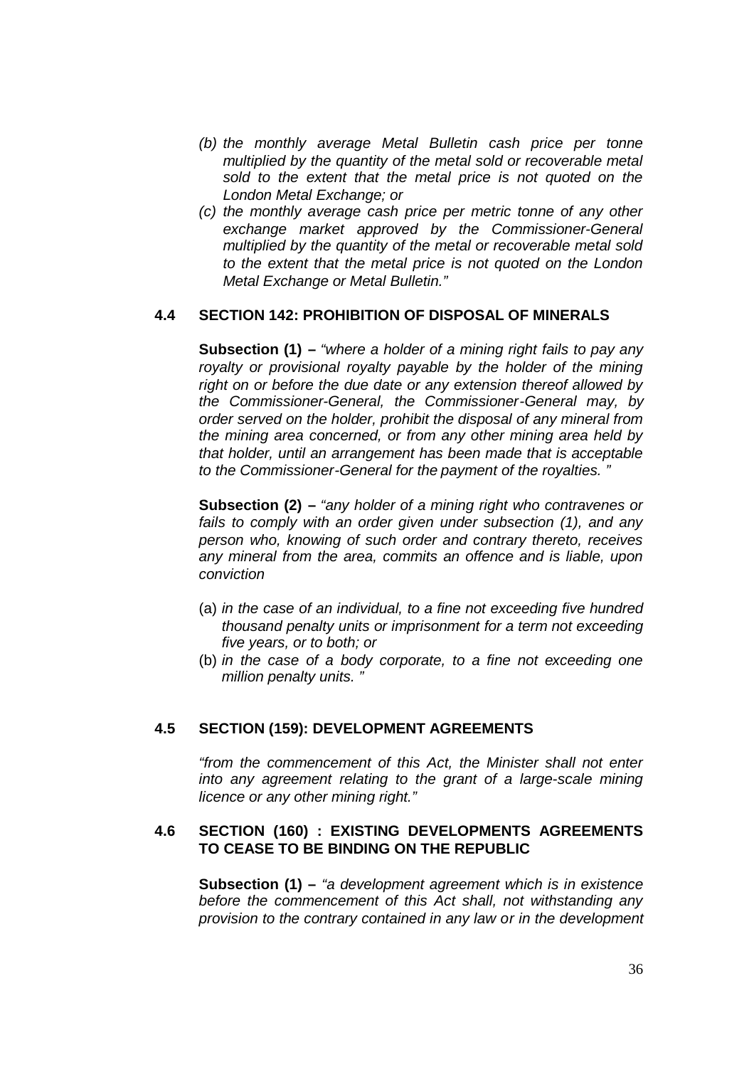- *(b) the monthly average Metal Bulletin cash price per tonne multiplied by the quantity of the metal sold or recoverable metal sold to the extent that the metal price is not quoted on the London Metal Exchange; or*
- *(c) the monthly average cash price per metric tonne of any other exchange market approved by the Commissioner-General multiplied by the quantity of the metal or recoverable metal sold to the extent that the metal price is not quoted on the London Metal Exchange or Metal Bulletin."*

### **4.4 SECTION 142: PROHIBITION OF DISPOSAL OF MINERALS**

**Subsection (1) –** *"where a holder of a mining right fails to pay any royalty or provisional royalty payable by the holder of the mining right on or before the due date or any extension thereof allowed by the Commissioner-General, the Commissioner-General may, by order served on the holder, prohibit the disposal of any mineral from the mining area concerned, or from any other mining area held by that holder, until an arrangement has been made that is acceptable to the Commissioner-General for the payment of the royalties. "*

**Subsection (2) –** *"any holder of a mining right who contravenes or fails to comply with an order given under subsection (1), and any person who, knowing of such order and contrary thereto, receives any mineral from the area, commits an offence and is liable, upon conviction*

- (a) *in the case of an individual, to a fine not exceeding five hundred thousand penalty units or imprisonment for a term not exceeding five years, or to both; or*
- (b) *in the case of a body corporate, to a fine not exceeding one million penalty units. "*

#### **4.5 SECTION (159): DEVELOPMENT AGREEMENTS**

*"from the commencement of this Act, the Minister shall not enter into any agreement relating to the grant of a large-scale mining licence or any other mining right."*

### **4.6 SECTION (160) : EXISTING DEVELOPMENTS AGREEMENTS TO CEASE TO BE BINDING ON THE REPUBLIC**

**Subsection (1) –** *"a development agreement which is in existence before the commencement of this Act shall, not withstanding any provision to the contrary contained in any law or in the development*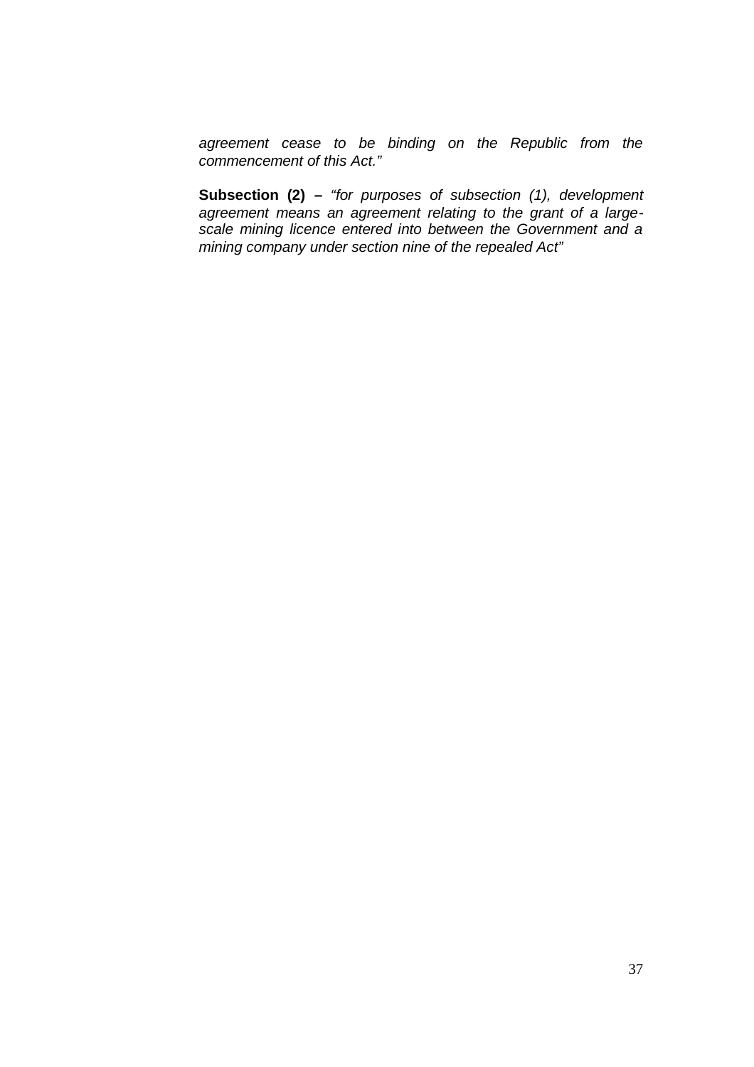*agreement cease to be binding on the Republic from the commencement of this Act."*

**Subsection (2) –** *"for purposes of subsection (1), development agreement means an agreement relating to the grant of a largescale mining licence entered into between the Government and a mining company under section nine of the repealed Act"*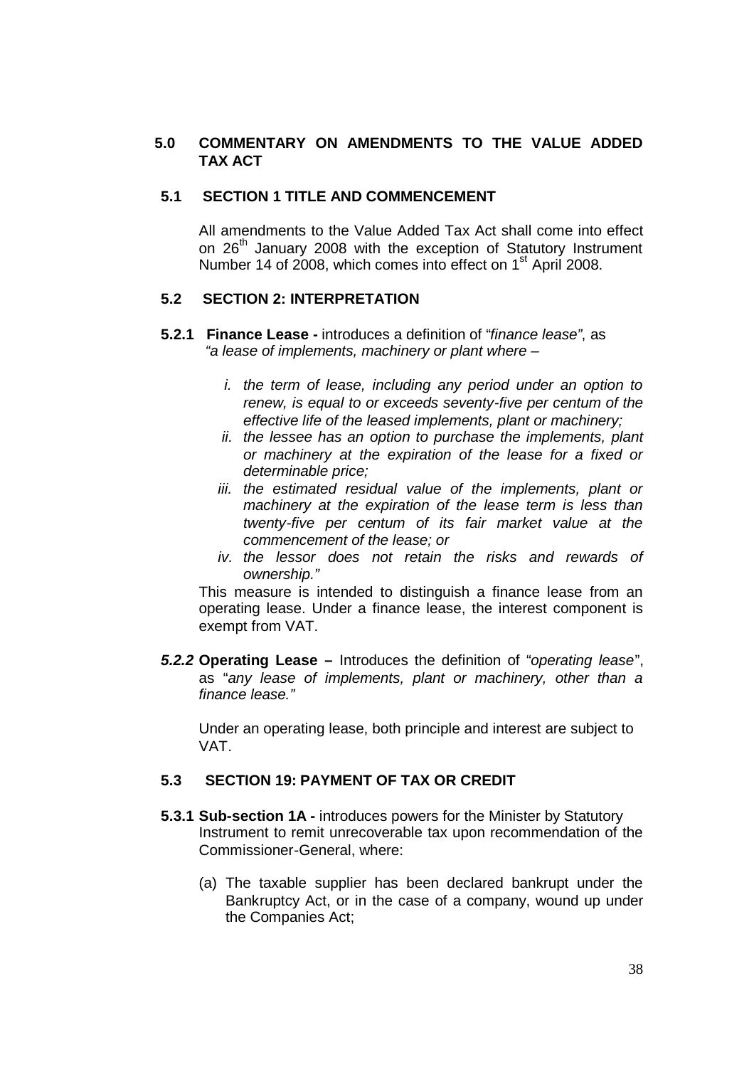### **5.0 COMMENTARY ON AMENDMENTS TO THE VALUE ADDED TAX ACT**

### **5.1 SECTION 1 TITLE AND COMMENCEMENT**

All amendments to the Value Added Tax Act shall come into effect on 26<sup>th</sup> January 2008 with the exception of Statutory Instrument Number 14 of 2008, which comes into effect on 1<sup>st</sup> April 2008.

# **5.2 SECTION 2: INTERPRETATION**

- **5.2.1 Finance Lease -** introduces a definition of "*finance lease"*, as *"a lease of implements, machinery or plant where –*
	- *i. the term of lease, including any period under an option to renew, is equal to or exceeds seventy-five per centum of the effective life of the leased implements, plant or machinery;*
	- *ii. the lessee has an option to purchase the implements, plant or machinery at the expiration of the lease for a fixed or determinable price;*
	- *iii. the estimated residual value of the implements, plant or machinery at the expiration of the lease term is less than twenty-five per centum of its fair market value at the commencement of the lease; or*
	- *iv. the lessor does not retain the risks and rewards of ownership."*

This measure is intended to distinguish a finance lease from an operating lease. Under a finance lease, the interest component is exempt from VAT.

*5.2.2* **Operating Lease –** Introduces the definition of "*operating lease*", as "*any lease of implements, plant or machinery, other than a finance lease."*

Under an operating lease, both principle and interest are subject to VAT.

### **5.3 SECTION 19: PAYMENT OF TAX OR CREDIT**

- **5.3.1 Sub-section 1A -** introduces powers for the Minister by Statutory Instrument to remit unrecoverable tax upon recommendation of the Commissioner-General, where:
	- (a) The taxable supplier has been declared bankrupt under the Bankruptcy Act, or in the case of a company, wound up under the Companies Act;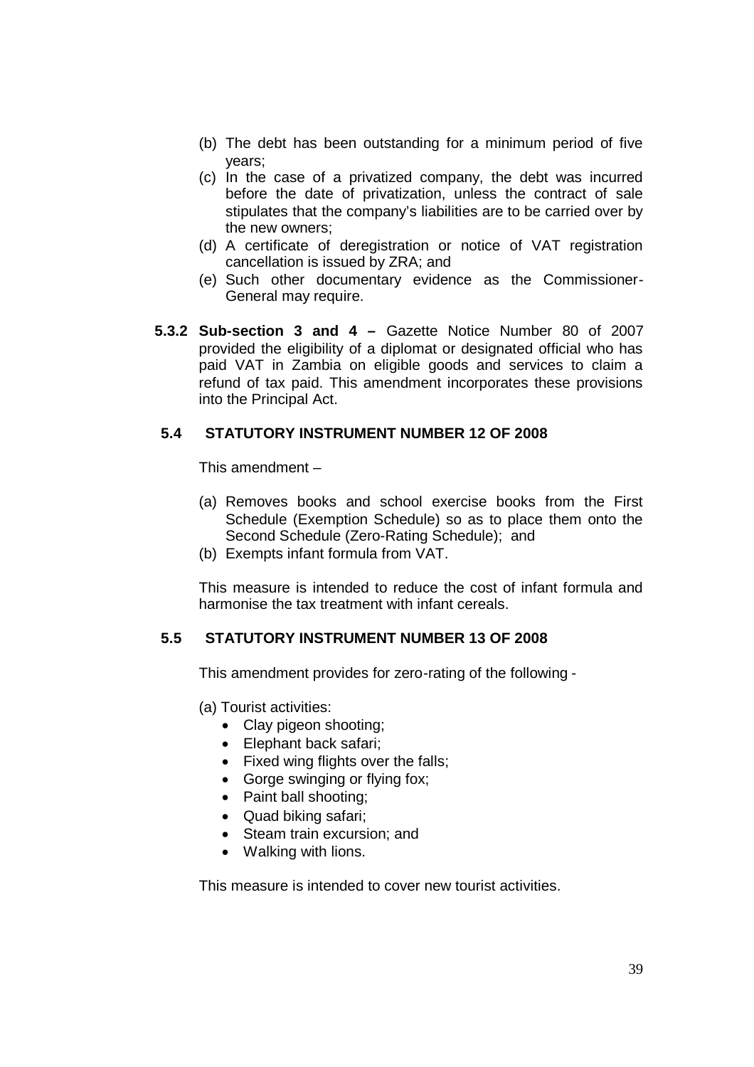- (b) The debt has been outstanding for a minimum period of five years;
- (c) In the case of a privatized company, the debt was incurred before the date of privatization, unless the contract of sale stipulates that the company's liabilities are to be carried over by the new owners;
- (d) A certificate of deregistration or notice of VAT registration cancellation is issued by ZRA; and
- (e) Such other documentary evidence as the Commissioner-General may require.
- **5.3.2 Sub-section 3 and 4 –** Gazette Notice Number 80 of 2007 provided the eligibility of a diplomat or designated official who has paid VAT in Zambia on eligible goods and services to claim a refund of tax paid. This amendment incorporates these provisions into the Principal Act.

# **5.4 STATUTORY INSTRUMENT NUMBER 12 OF 2008**

This amendment –

- (a) Removes books and school exercise books from the First Schedule (Exemption Schedule) so as to place them onto the Second Schedule (Zero-Rating Schedule); and
- (b) Exempts infant formula from VAT.

This measure is intended to reduce the cost of infant formula and harmonise the tax treatment with infant cereals.

### **5.5 STATUTORY INSTRUMENT NUMBER 13 OF 2008**

This amendment provides for zero-rating of the following -

- (a) Tourist activities:
	- Clay pigeon shooting;
	- Elephant back safari;
	- Fixed wing flights over the falls;
	- Gorge swinging or flying fox;
	- Paint ball shooting:
	- Quad biking safari:
	- Steam train excursion; and
	- Walking with lions.

This measure is intended to cover new tourist activities.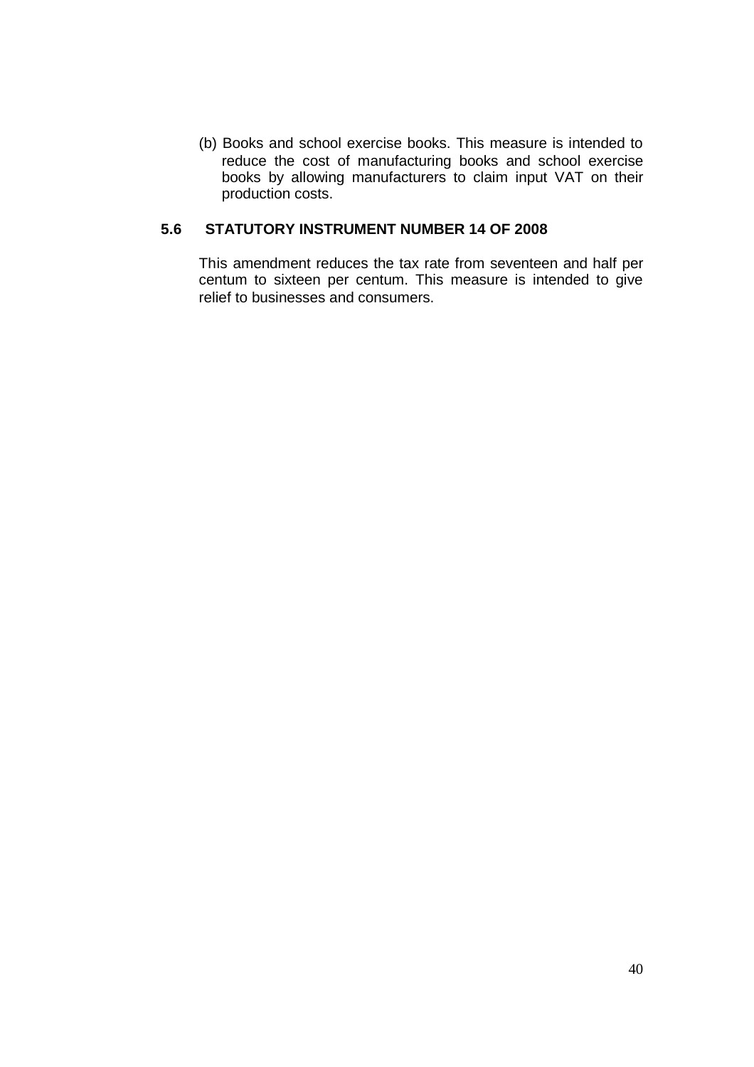(b) Books and school exercise books. This measure is intended to reduce the cost of manufacturing books and school exercise books by allowing manufacturers to claim input VAT on their production costs.

### **5.6 STATUTORY INSTRUMENT NUMBER 14 OF 2008**

This amendment reduces the tax rate from seventeen and half per centum to sixteen per centum. This measure is intended to give relief to businesses and consumers.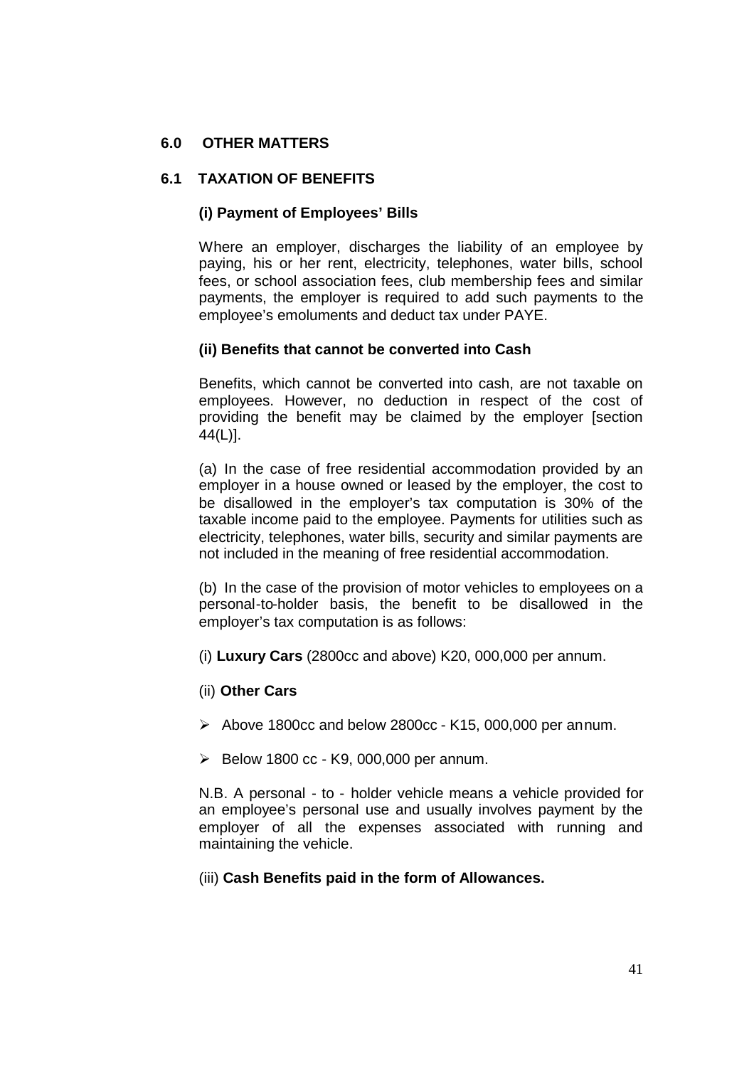# **6.0 OTHER MATTERS**

### **6.1 TAXATION OF BENEFITS**

### **(i) Payment of Employees' Bills**

Where an employer, discharges the liability of an employee by paying, his or her rent, electricity, telephones, water bills, school fees, or school association fees, club membership fees and similar payments, the employer is required to add such payments to the employee's emoluments and deduct tax under PAYE.

### **(ii) Benefits that cannot be converted into Cash**

Benefits, which cannot be converted into cash, are not taxable on employees. However, no deduction in respect of the cost of providing the benefit may be claimed by the employer [section 44(L)].

(a) In the case of free residential accommodation provided by an employer in a house owned or leased by the employer, the cost to be disallowed in the employer's tax computation is 30% of the taxable income paid to the employee. Payments for utilities such as electricity, telephones, water bills, security and similar payments are not included in the meaning of free residential accommodation.

(b) In the case of the provision of motor vehicles to employees on a personal-to-holder basis, the benefit to be disallowed in the employer's tax computation is as follows:

- (i) **Luxury Cars** (2800cc and above) K20, 000,000 per annum.
- (ii) **Other Cars**
- $\triangleright$  Above 1800cc and below 2800cc K15, 000,000 per annum.
- $\geq$  Below 1800 cc K9, 000,000 per annum.

N.B. A personal - to - holder vehicle means a vehicle provided for an employee's personal use and usually involves payment by the employer of all the expenses associated with running and maintaining the vehicle.

### (iii) **Cash Benefits paid in the form of Allowances.**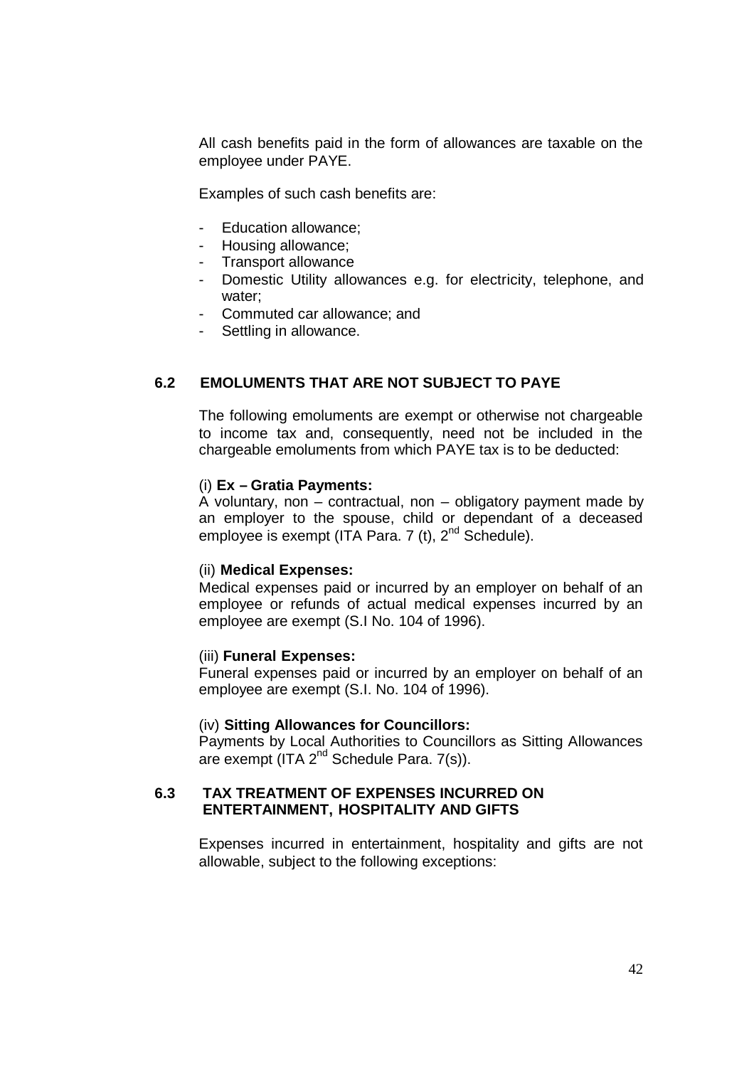All cash benefits paid in the form of allowances are taxable on the employee under PAYE.

Examples of such cash benefits are:

- Education allowance;
- Housing allowance;
- Transport allowance
- Domestic Utility allowances e.g. for electricity, telephone, and water;
- Commuted car allowance; and
- Settling in allowance.

### **6.2 EMOLUMENTS THAT ARE NOT SUBJECT TO PAYE**

The following emoluments are exempt or otherwise not chargeable to income tax and, consequently, need not be included in the chargeable emoluments from which PAYE tax is to be deducted:

#### (i) **Ex – Gratia Payments:**

A voluntary, non – contractual, non – obligatory payment made by an employer to the spouse, child or dependant of a deceased employee is exempt (ITA Para. 7 (t),  $2^{nd}$  Schedule).

#### (ii) **Medical Expenses:**

Medical expenses paid or incurred by an employer on behalf of an employee or refunds of actual medical expenses incurred by an employee are exempt (S.I No. 104 of 1996).

#### (iii) **Funeral Expenses:**

Funeral expenses paid or incurred by an employer on behalf of an employee are exempt (S.I. No. 104 of 1996).

#### (iv) **Sitting Allowances for Councillors:**

Payments by Local Authorities to Councillors as Sitting Allowances are exempt (ITA  $2^{nd}$  Schedule Para. 7(s)).

### **6.3 TAX TREATMENT OF EXPENSES INCURRED ON ENTERTAINMENT, HOSPITALITY AND GIFTS**

Expenses incurred in entertainment, hospitality and gifts are not allowable, subject to the following exceptions: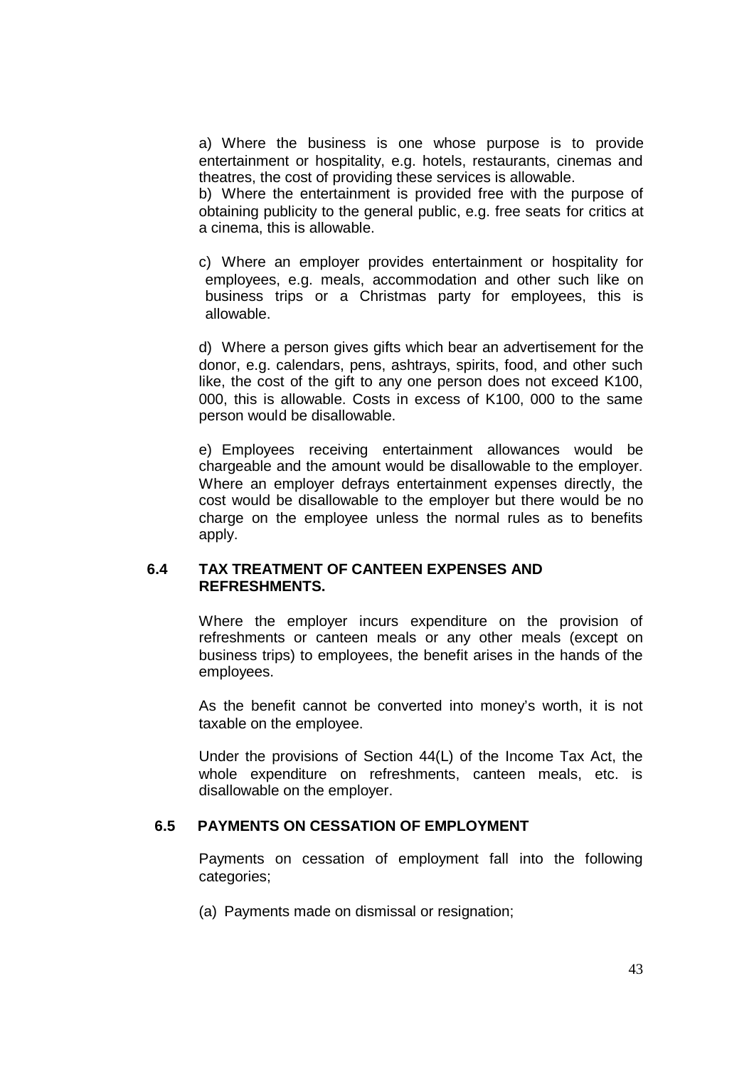a) Where the business is one whose purpose is to provide entertainment or hospitality, e.g. hotels, restaurants, cinemas and theatres, the cost of providing these services is allowable.

b) Where the entertainment is provided free with the purpose of obtaining publicity to the general public, e.g. free seats for critics at a cinema, this is allowable.

c) Where an employer provides entertainment or hospitality for employees, e.g. meals, accommodation and other such like on business trips or a Christmas party for employees, this is allowable.

d) Where a person gives gifts which bear an advertisement for the donor, e.g. calendars, pens, ashtrays, spirits, food, and other such like, the cost of the gift to any one person does not exceed K100, 000, this is allowable. Costs in excess of K100, 000 to the same person would be disallowable.

e) Employees receiving entertainment allowances would be chargeable and the amount would be disallowable to the employer. Where an employer defrays entertainment expenses directly, the cost would be disallowable to the employer but there would be no charge on the employee unless the normal rules as to benefits apply.

### **6.4 TAX TREATMENT OF CANTEEN EXPENSES AND REFRESHMENTS.**

Where the employer incurs expenditure on the provision of refreshments or canteen meals or any other meals (except on business trips) to employees, the benefit arises in the hands of the employees.

As the benefit cannot be converted into money's worth, it is not taxable on the employee.

Under the provisions of Section 44(L) of the Income Tax Act, the whole expenditure on refreshments, canteen meals, etc. is disallowable on the employer.

#### **6.5 PAYMENTS ON CESSATION OF EMPLOYMENT**

Payments on cessation of employment fall into the following categories;

(a) Payments made on dismissal or resignation;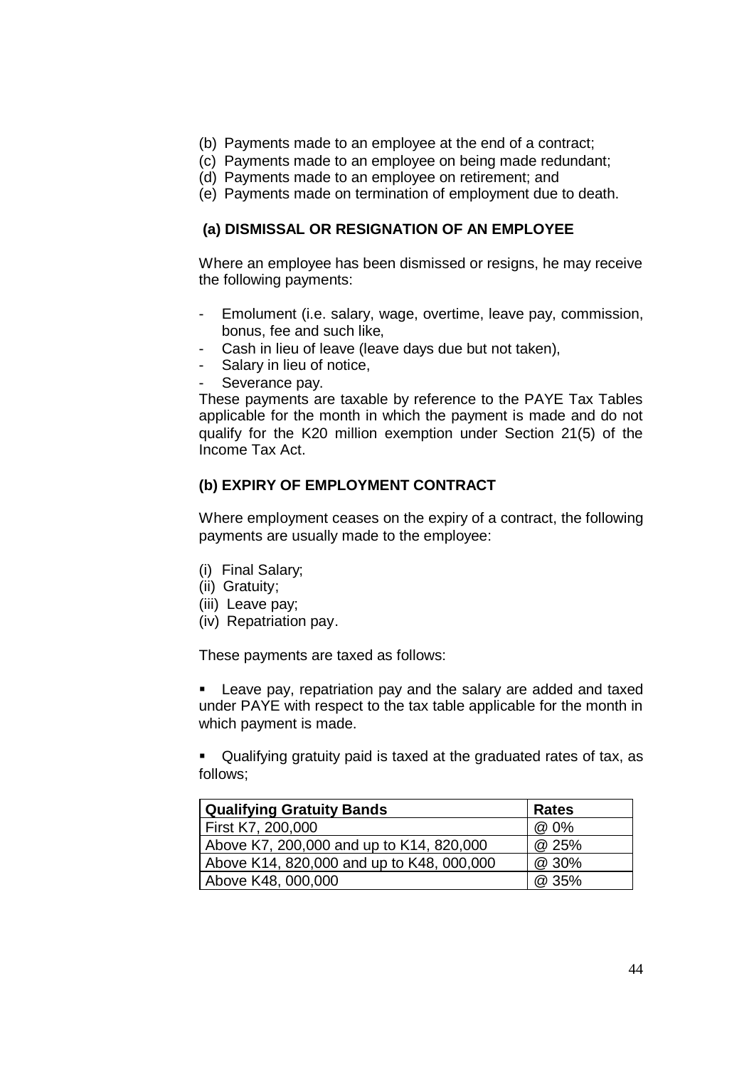- (b) Payments made to an employee at the end of a contract;
- (c) Payments made to an employee on being made redundant;
- (d) Payments made to an employee on retirement; and
- (e) Payments made on termination of employment due to death.

#### **(a) DISMISSAL OR RESIGNATION OF AN EMPLOYEE**

Where an employee has been dismissed or resigns, he may receive the following payments:

- Emolument (i.e. salary, wage, overtime, leave pay, commission, bonus, fee and such like,
- Cash in lieu of leave (leave days due but not taken),
- Salary in lieu of notice,
- Severance pay.

These payments are taxable by reference to the PAYE Tax Tables applicable for the month in which the payment is made and do not qualify for the K20 million exemption under Section 21(5) of the Income Tax Act.

### **(b) EXPIRY OF EMPLOYMENT CONTRACT**

Where employment ceases on the expiry of a contract, the following payments are usually made to the employee:

- (i) Final Salary;
- (ii) Gratuity;
- (iii) Leave pay;
- (iv) Repatriation pay.

These payments are taxed as follows:

 Leave pay, repatriation pay and the salary are added and taxed under PAYE with respect to the tax table applicable for the month in which payment is made.

 Qualifying gratuity paid is taxed at the graduated rates of tax, as follows;

| <b>Qualifying Gratuity Bands</b>          | <b>Rates</b> |
|-------------------------------------------|--------------|
| First K7, 200,000                         | @ 0%         |
| Above K7, 200,000 and up to K14, 820,000  | @ 25%        |
| Above K14, 820,000 and up to K48, 000,000 | @ 30%        |
| Above K48, 000,000                        | @ 35%        |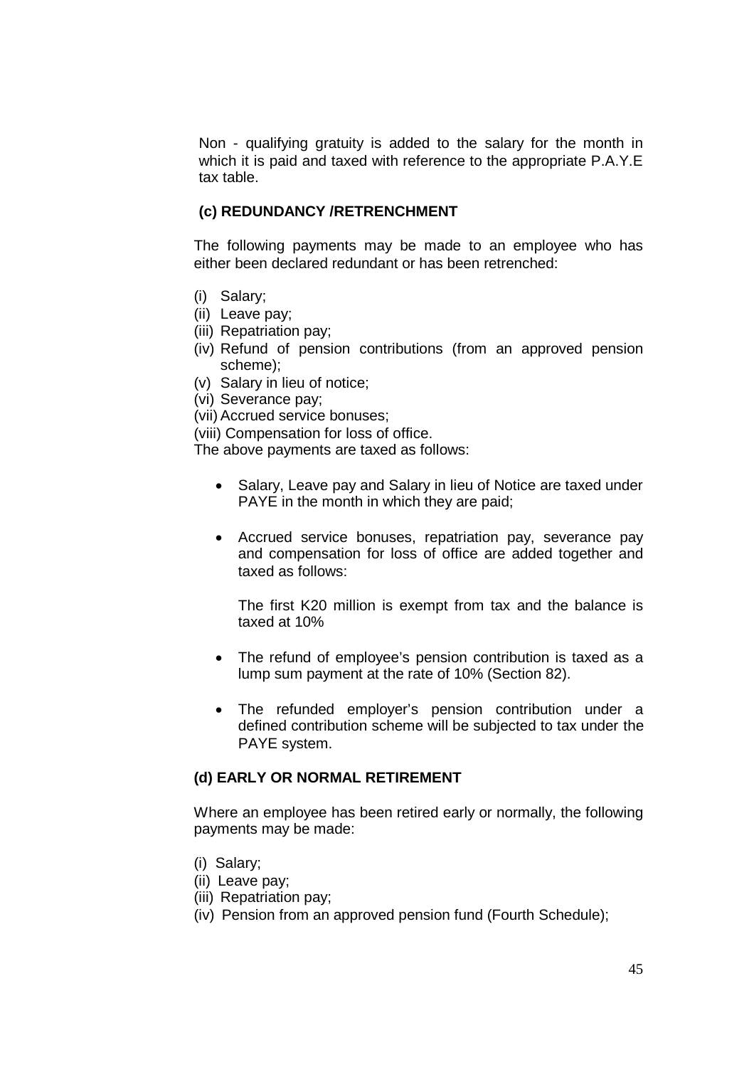Non - qualifying gratuity is added to the salary for the month in which it is paid and taxed with reference to the appropriate P.A.Y.E tax table.

### **(c) REDUNDANCY /RETRENCHMENT**

The following payments may be made to an employee who has either been declared redundant or has been retrenched:

- (i) Salary;
- (ii) Leave pay;
- (iii) Repatriation pay;
- (iv) Refund of pension contributions (from an approved pension scheme);
- (v) Salary in lieu of notice;
- (vi) Severance pay;
- (vii) Accrued service bonuses;

(viii) Compensation for loss of office.

The above payments are taxed as follows:

- Salary, Leave pay and Salary in lieu of Notice are taxed under PAYE in the month in which they are paid;
- Accrued service bonuses, repatriation pay, severance pay and compensation for loss of office are added together and taxed as follows:

The first K20 million is exempt from tax and the balance is taxed at 10%

- The refund of employee's pension contribution is taxed as a lump sum payment at the rate of 10% (Section 82).
- The refunded employer's pension contribution under a defined contribution scheme will be subjected to tax under the PAYE system.

#### **(d) EARLY OR NORMAL RETIREMENT**

Where an employee has been retired early or normally, the following payments may be made:

- (i) Salary;
- (ii) Leave pay;
- (iii) Repatriation pay;
- (iv) Pension from an approved pension fund (Fourth Schedule);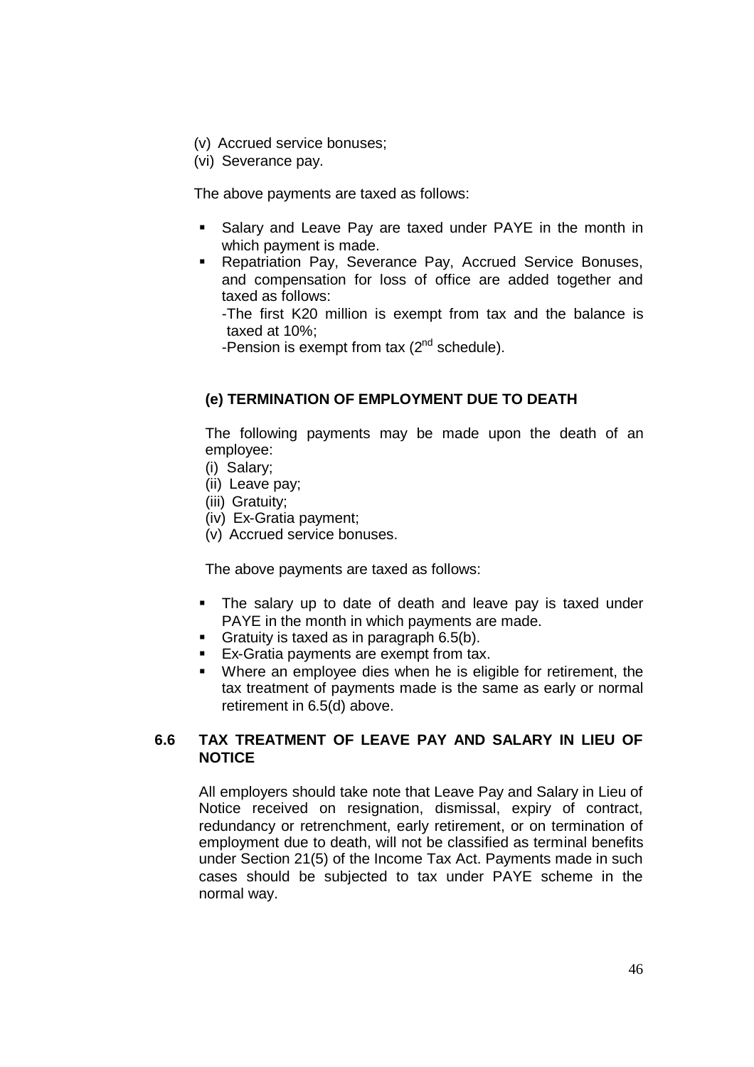- (v) Accrued service bonuses;
- (vi) Severance pay.

The above payments are taxed as follows:

- Salary and Leave Pay are taxed under PAYE in the month in which payment is made.
- **Repatriation Pay, Severance Pay, Accrued Service Bonuses,** and compensation for loss of office are added together and taxed as follows:
	- -The first K20 million is exempt from tax and the balance is taxed at 10%;
	- -Pension is exempt from tax (2<sup>nd</sup> schedule).

# **(e) TERMINATION OF EMPLOYMENT DUE TO DEATH**

The following payments may be made upon the death of an employee:

- (i) Salary;
- (ii) Leave pay;
- (iii) Gratuity;
- (iv) Ex-Gratia payment;
- (v) Accrued service bonuses.

The above payments are taxed as follows:

- The salary up to date of death and leave pay is taxed under PAYE in the month in which payments are made.
- Gratuity is taxed as in paragraph 6.5(b).
- **Ex-Gratia payments are exempt from tax.**
- Where an employee dies when he is eligible for retirement, the tax treatment of payments made is the same as early or normal retirement in 6.5(d) above.

# **6.6 TAX TREATMENT OF LEAVE PAY AND SALARY IN LIEU OF NOTICE**

All employers should take note that Leave Pay and Salary in Lieu of Notice received on resignation, dismissal, expiry of contract, redundancy or retrenchment, early retirement, or on termination of employment due to death, will not be classified as terminal benefits under Section 21(5) of the Income Tax Act. Payments made in such cases should be subjected to tax under PAYE scheme in the normal way.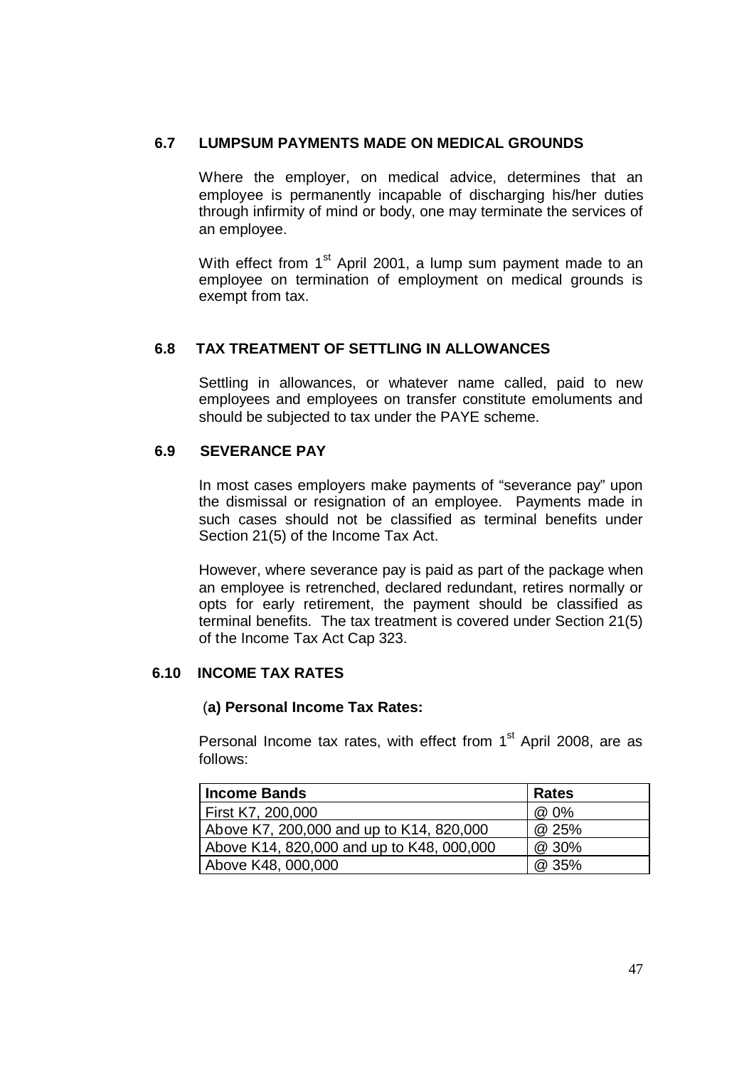### **6.7 LUMPSUM PAYMENTS MADE ON MEDICAL GROUNDS**

Where the employer, on medical advice, determines that an employee is permanently incapable of discharging his/her duties through infirmity of mind or body, one may terminate the services of an employee.

With effect from 1<sup>st</sup> April 2001, a lump sum payment made to an employee on termination of employment on medical grounds is exempt from tax.

# **6.8 TAX TREATMENT OF SETTLING IN ALLOWANCES**

Settling in allowances, or whatever name called, paid to new employees and employees on transfer constitute emoluments and should be subjected to tax under the PAYE scheme.

# **6.9 SEVERANCE PAY**

In most cases employers make payments of "severance pay" upon the dismissal or resignation of an employee. Payments made in such cases should not be classified as terminal benefits under Section 21(5) of the Income Tax Act.

However, where severance pay is paid as part of the package when an employee is retrenched, declared redundant, retires normally or opts for early retirement, the payment should be classified as terminal benefits. The tax treatment is covered under Section 21(5) of the Income Tax Act Cap 323.

### **6.10 INCOME TAX RATES**

### (**a) Personal Income Tax Rates:**

Personal Income tax rates, with effect from  $1<sup>st</sup>$  April 2008, are as follows:

| <b>Income Bands</b>                       | <b>Rates</b> |
|-------------------------------------------|--------------|
| First K7, 200,000                         | @ 0%         |
| Above K7, 200,000 and up to K14, 820,000  | @ 25%        |
| Above K14, 820,000 and up to K48, 000,000 | @ 30%        |
| Above K48, 000,000                        | @ 35%        |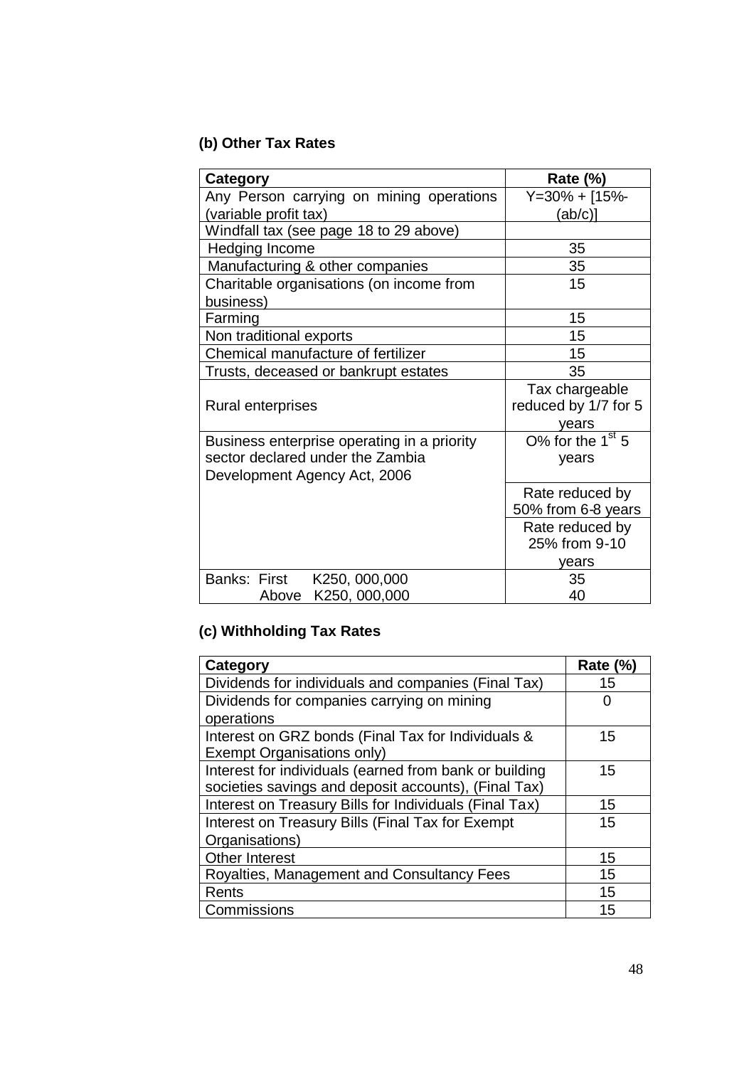# **(b) Other Tax Rates**

| Category                                                                                                        | Rate $(\%)$                                     |
|-----------------------------------------------------------------------------------------------------------------|-------------------------------------------------|
| Any Person carrying on mining operations                                                                        | Y=30% + [15%-                                   |
| (variable profit tax)                                                                                           | (ab/c)]                                         |
| Windfall tax (see page 18 to 29 above)                                                                          |                                                 |
| Hedging Income                                                                                                  | 35                                              |
| Manufacturing & other companies                                                                                 | 35                                              |
| Charitable organisations (on income from<br>business)                                                           | 15                                              |
| Farming                                                                                                         | 15                                              |
| Non traditional exports                                                                                         | 15                                              |
| Chemical manufacture of fertilizer                                                                              | 15                                              |
| Trusts, deceased or bankrupt estates                                                                            | 35                                              |
| <b>Rural enterprises</b>                                                                                        | Tax chargeable<br>reduced by 1/7 for 5<br>years |
| Business enterprise operating in a priority<br>sector declared under the Zambia<br>Development Agency Act, 2006 | O% for the $1st 5$<br>years                     |
|                                                                                                                 | Rate reduced by<br>50% from 6-8 years           |
|                                                                                                                 | Rate reduced by<br>25% from 9-10                |
|                                                                                                                 | vears                                           |
| Banks: First<br>K250, 000,000<br>Above K250, 000,000                                                            | 35<br>40                                        |

# **(c) Withholding Tax Rates**

| Category                                               | <b>Rate (%)</b> |
|--------------------------------------------------------|-----------------|
| Dividends for individuals and companies (Final Tax)    | 15              |
| Dividends for companies carrying on mining             |                 |
| operations                                             |                 |
| Interest on GRZ bonds (Final Tax for Individuals &     | 15              |
| Exempt Organisations only)                             |                 |
| Interest for individuals (earned from bank or building | 15              |
| societies savings and deposit accounts), (Final Tax)   |                 |
| Interest on Treasury Bills for Individuals (Final Tax) | 15              |
| Interest on Treasury Bills (Final Tax for Exempt       | 15              |
| Organisations)                                         |                 |
| <b>Other Interest</b>                                  | 15              |
| Royalties, Management and Consultancy Fees             | 15              |
| Rents                                                  | 15              |
| Commissions                                            | 15              |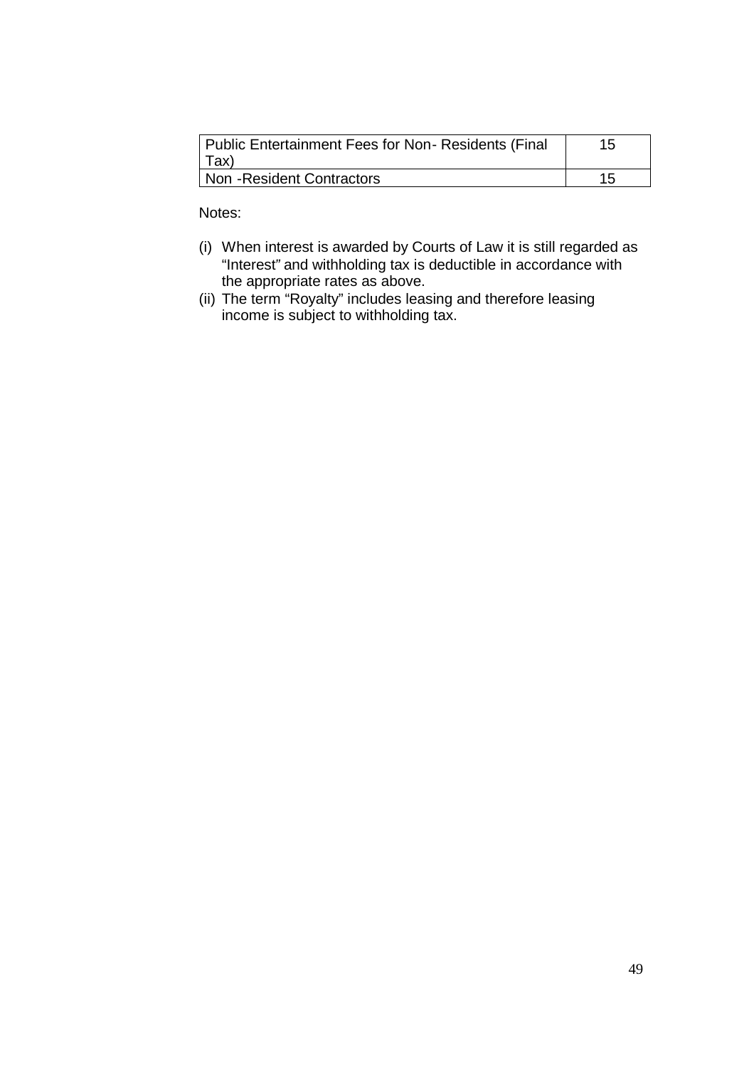| Public Entertainment Fees for Non- Residents (Final<br>  Tax) | 15 |
|---------------------------------------------------------------|----|
| Non - Resident Contractors                                    |    |

Notes:

- (i) When interest is awarded by Courts of Law it is still regarded as "Interest*"* and withholding tax is deductible in accordance with the appropriate rates as above.
- (ii) The term "Royalty" includes leasing and therefore leasing income is subject to withholding tax.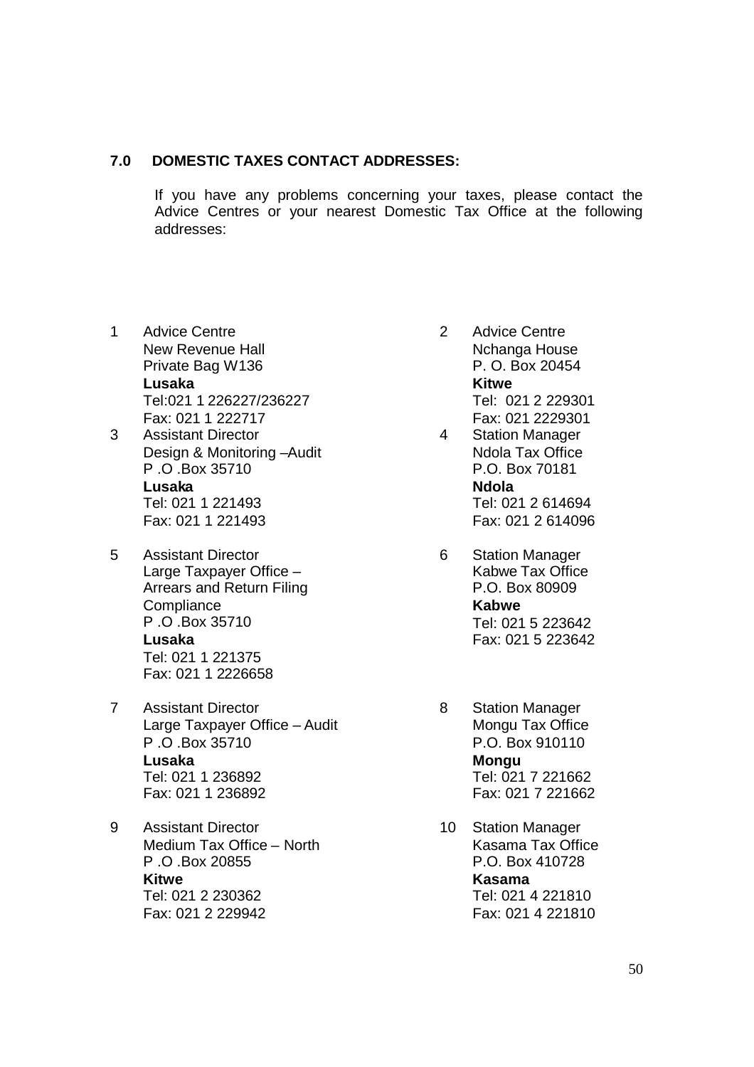### **7.0 DOMESTIC TAXES CONTACT ADDRESSES:**

If you have any problems concerning your taxes, please contact the Advice Centres or your nearest Domestic Tax Office at the following addresses:

- 1 Advice Centre New Revenue Hall Private Bag W136 **Lusaka** Tel:021 1 226227/236227 Fax: 021 1 222717
- 3 Assistant Director Design & Monitoring –Audit P .O .Box 35710 **Lusaka** Tel: 021 1 221493 Fax: 021 1 221493
- 5 Assistant Director Large Taxpayer Office – Arrears and Return Filing **Compliance** P .O .Box 35710 **Lusaka** Tel: 021 1 221375 Fax: 021 1 2226658
- 7 Assistant Director Large Taxpayer Office – Audit P .O .Box 35710 **Lusaka** Tel: 021 1 236892 Fax: 021 1 236892
- 9 Assistant Director Medium Tax Office – North P .O .Box 20855 **Kitwe** Tel: 021 2 230362 Fax: 021 2 229942
- 2 Advice Centre Nchanga House P. O. Box 20454 **Kitwe** Tel: 021 2 229301 Fax: 021 2229301
- 4 Station Manager Ndola Tax Office P.O. Box 70181 **Ndola** Tel: 021 2 614694 Fax: 021 2 614096
- 6 Station Manager Kabwe Tax Office P.O. Box 80909 **Kabwe** Tel: 021 5 223642 Fax: 021 5 223642
- 8 Station Manager Mongu Tax Office P.O. Box 910110 **Mongu** Tel: 021 7 221662 Fax: 021 7 221662
- 10 Station Manager Kasama Tax Office P.O. Box 410728 **Kasama** Tel: 021 4 221810 Fax: 021 4 221810